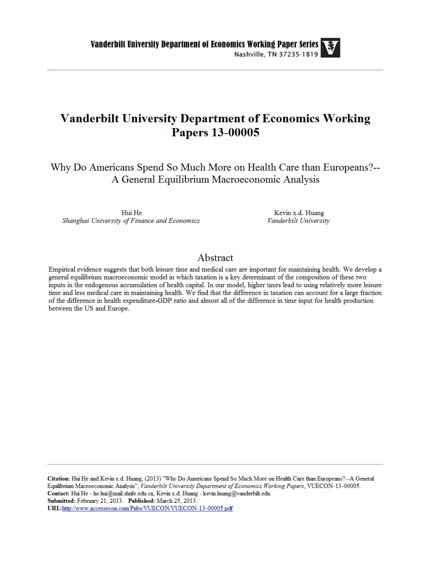# **Vanderbilt University Department of Economics Working Papers 13-00005**

Why Do Americans Spend So Much More on Health Care than Europeans?--A General Equilibrium Macroeconomic Analysis

Hui He Shanghai University of Finance and Economics

Kevin x.d. Huang Vanderbilt University

### Abstract

Empirical evidence suggests that both leisure time and medical care are important for maintaining health. We develop a general equilibrium macroeconomic model in which taxation is a key determinant of the composition of these two inputs in the endogenous accumulation of health capital. In our model, higher taxes lead to using relatively more leisure time and less medical care in maintaining health. We find that the difference in taxation can account for a large fraction of the difference in health expenditure-GDP ratio and almost all of the difference in time input for health production between the US and Europe.

Citation: Hui He and Kevin x.d. Huang, (2013) "Why Do Americans Spend So Much More on Health Care than Europeans?--A General Equilibrium Macroeconomic Analysis", Vanderbilt University Department of Economics Working Papers, VUECON-13-00005. Contact: Hui He - he.hui@mail.shufe.edu.cn, Kevin x.d. Huang - kevin.huang@vanderbilt.edu. Submitted: February 21, 2013. Published: March 25, 2013. URL:http://www.accessecon.com/Pubs/VUECON/VUECON-13-00005.pdf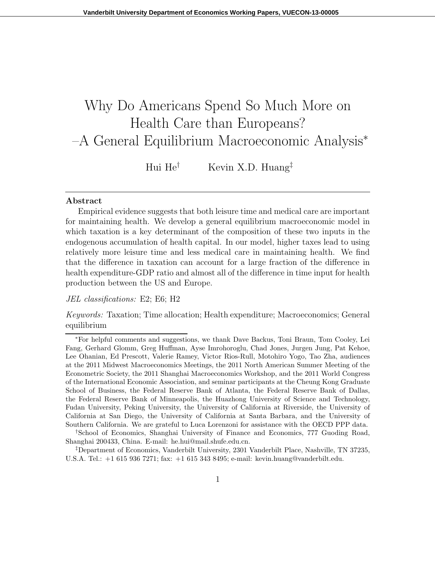# Why Do Americans Spend So Much More on Health Care than Europeans? –A General Equilibrium Macroeconomic Analysis<sup>∗</sup>

Hui He<sup>†</sup> Kevin X.D. Huang<sup>‡</sup>

#### Abstract

Empirical evidence suggests that both leisure time and medical care are important for maintaining health. We develop a general equilibrium macroeconomic model in which taxation is a key determinant of the composition of these two inputs in the endogenous accumulation of health capital. In our model, higher taxes lead to using relatively more leisure time and less medical care in maintaining health. We find that the difference in taxation can account for a large fraction of the difference in health expenditure-GDP ratio and almost all of the difference in time input for health production between the US and Europe.

#### JEL classifications: E2; E6; H2

Keywords: Taxation; Time allocation; Health expenditure; Macroeconomics; General equilibrium

<sup>∗</sup>For helpful comments and suggestions, we thank Dave Backus, Toni Braun, Tom Cooley, Lei Fang, Gerhard Glomm, Greg Huffman, Ayse Imrohoroglu, Chad Jones, Jurgen Jung, Pat Kehoe, Lee Ohanian, Ed Prescott, Valerie Ramey, Victor Rios-Rull, Motohiro Yogo, Tao Zha, audiences at the 2011 Midwest Macroeconomics Meetings, the 2011 North American Summer Meeting of the Econometric Society, the 2011 Shanghai Macroeconomics Workshop, and the 2011 World Congress of the International Economic Association, and seminar participants at the Cheung Kong Graduate School of Business, the Federal Reserve Bank of Atlanta, the Federal Reserve Bank of Dallas, the Federal Reserve Bank of Minneapolis, the Huazhong University of Science and Technology, Fudan University, Peking University, the University of California at Riverside, the University of California at San Diego, the University of California at Santa Barbara, and the University of Southern California. We are grateful to Luca Lorenzoni for assistance with the OECD PPP data.

<sup>†</sup>School of Economics, Shanghai University of Finance and Economics, 777 Guoding Road, Shanghai 200433, China. E-mail: he.hui@mail.shufe.edu.cn.

<sup>‡</sup>Department of Economics, Vanderbilt University, 2301 Vanderbilt Place, Nashville, TN 37235, U.S.A. Tel.: +1 615 936 7271; fax: +1 615 343 8495; e-mail: kevin.huang@vanderbilt.edu.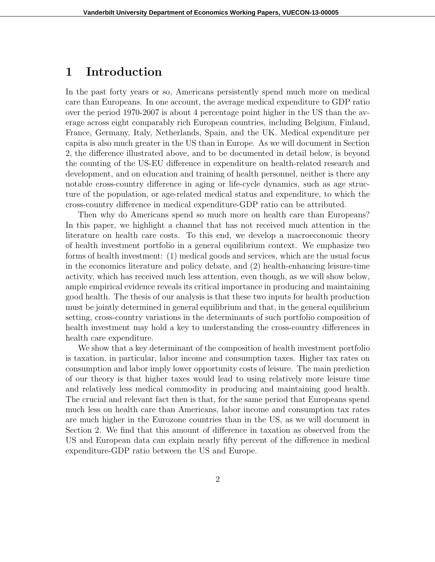### 1 Introduction

In the past forty years or so, Americans persistently spend much more on medical care than Europeans. In one account, the average medical expenditure to GDP ratio over the period 1970-2007 is about 4 percentage point higher in the US than the average across eight comparably rich European countries, including Belgium, Finland, France, Germany, Italy, Netherlands, Spain, and the UK. Medical expenditure per capita is also much greater in the US than in Europe. As we will document in Section 2, the difference illustrated above, and to be documented in detail below, is beyond the counting of the US-EU difference in expenditure on health-related research and development, and on education and training of health personnel, neither is there any notable cross-country difference in aging or life-cycle dynamics, such as age structure of the population, or age-related medical status and expenditure, to which the cross-country difference in medical expenditure-GDP ratio can be attributed.

Then why do Americans spend so much more on health care than Europeans? In this paper, we highlight a channel that has not received much attention in the literature on health care costs. To this end, we develop a macroeconomic theory of health investment portfolio in a general equilibrium context. We emphasize two forms of health investment: (1) medical goods and services, which are the usual focus in the economics literature and policy debate, and (2) health-enhancing leisure-time activity, which has received much less attention, even though, as we will show below, ample empirical evidence reveals its critical importance in producing and maintaining good health. The thesis of our analysis is that these two inputs for health production must be jointly determined in general equilibrium and that, in the general equilibrium setting, cross-country variations in the determinants of such portfolio composition of health investment may hold a key to understanding the cross-country differences in health care expenditure.

We show that a key determinant of the composition of health investment portfolio is taxation, in particular, labor income and consumption taxes. Higher tax rates on consumption and labor imply lower opportunity costs of leisure. The main prediction of our theory is that higher taxes would lead to using relatively more leisure time and relatively less medical commodity in producing and maintaining good health. The crucial and relevant fact then is that, for the same period that Europeans spend much less on health care than Americans, labor income and consumption tax rates are much higher in the Eurozone countries than in the US, as we will document in Section 2. We find that this amount of difference in taxation as observed from the US and European data can explain nearly fifty percent of the difference in medical expenditure-GDP ratio between the US and Europe.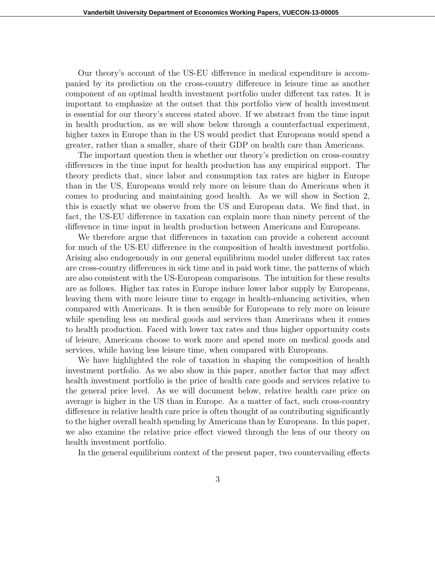Our theory's account of the US-EU difference in medical expenditure is accompanied by its prediction on the cross-country difference in leisure time as another component of an optimal health investment portfolio under different tax rates. It is important to emphasize at the outset that this portfolio view of health investment is essential for our theory's success stated above. If we abstract from the time input in health production, as we will show below through a counterfactual experiment, higher taxes in Europe than in the US would predict that Europeans would spend a greater, rather than a smaller, share of their GDP on health care than Americans.

The important question then is whether our theory's prediction on cross-country differences in the time input for health production has any empirical support. The theory predicts that, since labor and consumption tax rates are higher in Europe than in the US, Europeans would rely more on leisure than do Americans when it comes to producing and maintaining good health. As we will show in Section 2, this is exactly what we observe from the US and European data. We find that, in fact, the US-EU difference in taxation can explain more than ninety percent of the difference in time input in health production between Americans and Europeans.

We therefore argue that differences in taxation can provide a coherent account for much of the US-EU difference in the composition of health investment portfolio. Arising also endogenously in our general equilibrium model under different tax rates are cross-country differences in sick time and in paid work time, the patterns of which are also consistent with the US-European comparisons. The intuition for these results are as follows. Higher tax rates in Europe induce lower labor supply by Europeans, leaving them with more leisure time to engage in health-enhancing activities, when compared with Americans. It is then sensible for Europeans to rely more on leisure while spending less on medical goods and services than Americans when it comes to health production. Faced with lower tax rates and thus higher opportunity costs of leisure, Americans choose to work more and spend more on medical goods and services, while having less leisure time, when compared with Europeans.

We have highlighted the role of taxation in shaping the composition of health investment portfolio. As we also show in this paper, another factor that may affect health investment portfolio is the price of health care goods and services relative to the general price level. As we will document below, relative health care price on average is higher in the US than in Europe. As a matter of fact, such cross-country difference in relative health care price is often thought of as contributing significantly to the higher overall health spending by Americans than by Europeans. In this paper, we also examine the relative price effect viewed through the lens of our theory on health investment portfolio.

In the general equilibrium context of the present paper, two countervailing effects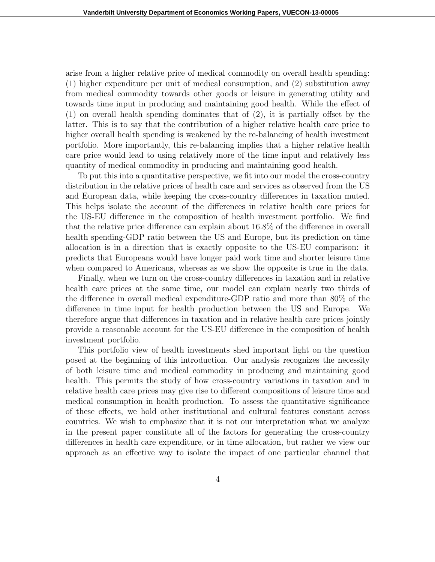arise from a higher relative price of medical commodity on overall health spending: (1) higher expenditure per unit of medical consumption, and (2) substitution away from medical commodity towards other goods or leisure in generating utility and towards time input in producing and maintaining good health. While the effect of (1) on overall health spending dominates that of (2), it is partially offset by the latter. This is to say that the contribution of a higher relative health care price to higher overall health spending is weakened by the re-balancing of health investment portfolio. More importantly, this re-balancing implies that a higher relative health care price would lead to using relatively more of the time input and relatively less quantity of medical commodity in producing and maintaining good health.

To put this into a quantitative perspective, we fit into our model the cross-country distribution in the relative prices of health care and services as observed from the US and European data, while keeping the cross-country differences in taxation muted. This helps isolate the account of the differences in relative health care prices for the US-EU difference in the composition of health investment portfolio. We find that the relative price difference can explain about 16.8% of the difference in overall health spending-GDP ratio between the US and Europe, but its prediction on time allocation is in a direction that is exactly opposite to the US-EU comparison: it predicts that Europeans would have longer paid work time and shorter leisure time when compared to Americans, whereas as we show the opposite is true in the data.

Finally, when we turn on the cross-country differences in taxation and in relative health care prices at the same time, our model can explain nearly two thirds of the difference in overall medical expenditure-GDP ratio and more than 80% of the difference in time input for health production between the US and Europe. We therefore argue that differences in taxation and in relative health care prices jointly provide a reasonable account for the US-EU difference in the composition of health investment portfolio.

This portfolio view of health investments shed important light on the question posed at the beginning of this introduction. Our analysis recognizes the necessity of both leisure time and medical commodity in producing and maintaining good health. This permits the study of how cross-country variations in taxation and in relative health care prices may give rise to different compositions of leisure time and medical consumption in health production. To assess the quantitative significance of these effects, we hold other institutional and cultural features constant across countries. We wish to emphasize that it is not our interpretation what we analyze in the present paper constitute all of the factors for generating the cross-country differences in health care expenditure, or in time allocation, but rather we view our approach as an effective way to isolate the impact of one particular channel that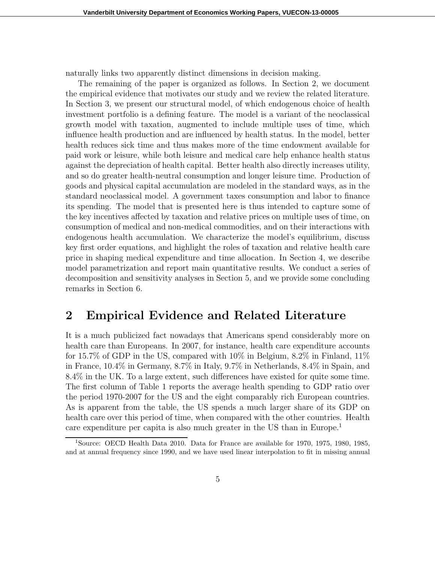naturally links two apparently distinct dimensions in decision making.

The remaining of the paper is organized as follows. In Section 2, we document the empirical evidence that motivates our study and we review the related literature. In Section 3, we present our structural model, of which endogenous choice of health investment portfolio is a defining feature. The model is a variant of the neoclassical growth model with taxation, augmented to include multiple uses of time, which influence health production and are influenced by health status. In the model, better health reduces sick time and thus makes more of the time endowment available for paid work or leisure, while both leisure and medical care help enhance health status against the depreciation of health capital. Better health also directly increases utility, and so do greater health-neutral consumption and longer leisure time. Production of goods and physical capital accumulation are modeled in the standard ways, as in the standard neoclassical model. A government taxes consumption and labor to finance its spending. The model that is presented here is thus intended to capture some of the key incentives affected by taxation and relative prices on multiple uses of time, on consumption of medical and non-medical commodities, and on their interactions with endogenous health accumulation. We characterize the model's equilibrium, discuss key first order equations, and highlight the roles of taxation and relative health care price in shaping medical expenditure and time allocation. In Section 4, we describe model parametrization and report main quantitative results. We conduct a series of decomposition and sensitivity analyses in Section 5, and we provide some concluding remarks in Section 6.

# 2 Empirical Evidence and Related Literature

It is a much publicized fact nowadays that Americans spend considerably more on health care than Europeans. In 2007, for instance, health care expenditure accounts for 15.7% of GDP in the US, compared with 10% in Belgium, 8.2% in Finland, 11% in France, 10.4% in Germany, 8.7% in Italy, 9.7% in Netherlands, 8.4% in Spain, and 8.4% in the UK. To a large extent, such differences have existed for quite some time. The first column of Table 1 reports the average health spending to GDP ratio over the period 1970-2007 for the US and the eight comparably rich European countries. As is apparent from the table, the US spends a much larger share of its GDP on health care over this period of time, when compared with the other countries. Health care expenditure per capita is also much greater in the US than in Europe.<sup>1</sup>

<sup>1</sup>Source: OECD Health Data 2010. Data for France are available for 1970, 1975, 1980, 1985, and at annual frequency since 1990, and we have used linear interpolation to fit in missing annual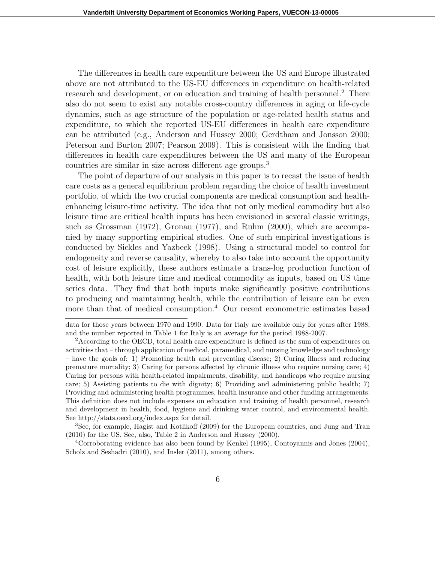The differences in health care expenditure between the US and Europe illustrated above are not attributed to the US-EU differences in expenditure on health-related research and development, or on education and training of health personnel.<sup>2</sup> There also do not seem to exist any notable cross-country differences in aging or life-cycle dynamics, such as age structure of the population or age-related health status and expenditure, to which the reported US-EU differences in health care expenditure can be attributed (e.g., Anderson and Hussey 2000; Gerdtham and Jonsson 2000; Peterson and Burton 2007; Pearson 2009). This is consistent with the finding that differences in health care expenditures between the US and many of the European countries are similar in size across different age groups.<sup>3</sup>

The point of departure of our analysis in this paper is to recast the issue of health care costs as a general equilibrium problem regarding the choice of health investment portfolio, of which the two crucial components are medical consumption and healthenhancing leisure-time activity. The idea that not only medical commodity but also leisure time are critical health inputs has been envisioned in several classic writings, such as Grossman (1972), Gronau (1977), and Ruhm (2000), which are accompanied by many supporting empirical studies. One of such empirical investigations is conducted by Sickles and Yazbeck (1998). Using a structural model to control for endogeneity and reverse causality, whereby to also take into account the opportunity cost of leisure explicitly, these authors estimate a trans-log production function of health, with both leisure time and medical commodity as inputs, based on US time series data. They find that both inputs make significantly positive contributions to producing and maintaining health, while the contribution of leisure can be even more than that of medical consumption.<sup>4</sup> Our recent econometric estimates based

data for those years between 1970 and 1990. Data for Italy are available only for years after 1988, and the number reported in Table 1 for Italy is an average for the period 1988-2007.

<sup>&</sup>lt;sup>2</sup> According to the OECD, total health care expenditure is defined as the sum of expenditures on activities that – through application of medical, paramedical, and nursing knowledge and technology – have the goals of: 1) Promoting health and preventing disease; 2) Curing illness and reducing premature mortality; 3) Caring for persons affected by chronic illness who require nursing care; 4) Caring for persons with health-related impairments, disability, and handicaps who require nursing care; 5) Assisting patients to die with dignity; 6) Providing and administering public health; 7) Providing and administering health programmes, health insurance and other funding arrangements. This definition does not include expenses on education and training of health personnel, research and development in health, food, hygiene and drinking water control, and environmental health. See http://stats.oecd.org/index.aspx for detail.

<sup>3</sup>See, for example, Hagist and Kotlikoff (2009) for the European countries, and Jung and Tran (2010) for the US. See, also, Table 2 in Anderson and Hussey (2000).

<sup>4</sup>Corroborating evidence has also been found by Kenkel (1995), Contoyannis and Jones (2004), Scholz and Seshadri (2010), and Insler (2011), among others.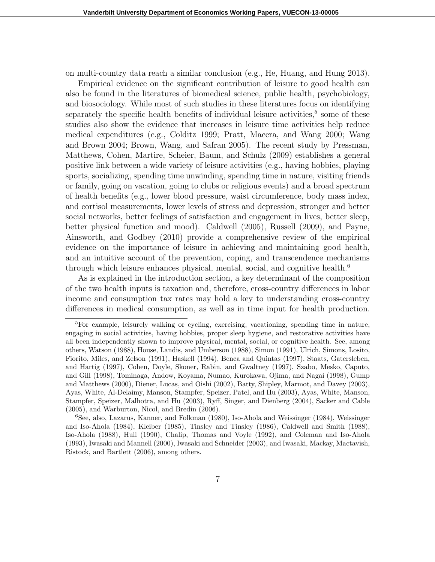on multi-country data reach a similar conclusion (e.g., He, Huang, and Hung 2013).

Empirical evidence on the significant contribution of leisure to good health can also be found in the literatures of biomedical science, public health, psychobiology, and biosociology. While most of such studies in these literatures focus on identifying separately the specific health benefits of individual leisure activities,<sup>5</sup> some of these studies also show the evidence that increases in leisure time activities help reduce medical expenditures (e.g., Colditz 1999; Pratt, Macera, and Wang 2000; Wang and Brown 2004; Brown, Wang, and Safran 2005). The recent study by Pressman, Matthews, Cohen, Martire, Scheier, Baum, and Schulz (2009) establishes a general positive link between a wide variety of leisure activities (e.g., having hobbies, playing sports, socializing, spending time unwinding, spending time in nature, visiting friends or family, going on vacation, going to clubs or religious events) and a broad spectrum of health benefits (e.g., lower blood pressure, waist circumference, body mass index, and cortisol measurements, lower levels of stress and depression, stronger and better social networks, better feelings of satisfaction and engagement in lives, better sleep, better physical function and mood). Caldwell (2005), Russell (2009), and Payne, Ainsworth, and Godbey (2010) provide a comprehensive review of the empirical evidence on the importance of leisure in achieving and maintaining good health, and an intuitive account of the prevention, coping, and transcendence mechanisms through which leisure enhances physical, mental, social, and cognitive health.<sup>6</sup>

As is explained in the introduction section, a key determinant of the composition of the two health inputs is taxation and, therefore, cross-country differences in labor income and consumption tax rates may hold a key to understanding cross-country differences in medical consumption, as well as in time input for health production.

<sup>5</sup>For example, leisurely walking or cycling, exercising, vacationing, spending time in nature, engaging in social activities, having hobbies, proper sleep hygiene, and restorative activities have all been independently shown to improve physical, mental, social, or cognitive health. See, among others, Watson (1988), House, Landis, and Umberson (1988), Simon (1991), Ulrich, Simons, Losito, Fiorito, Miles, and Zelson (1991), Haskell (1994), Benca and Quintas (1997), Staats, Gatersleben, and Hartig (1997), Cohen, Doyle, Skoner, Rabin, and Gwaltney (1997), Szabo, Mesko, Caputo, and Gill (1998), Tominaga, Andow, Koyama, Numao, Kurokawa, Ojima, and Nagai (1998), Gump and Matthews (2000), Diener, Lucas, and Oishi (2002), Batty, Shipley, Marmot, and Davey (2003), Ayas, White, Al-Delaimy, Manson, Stampfer, Speizer, Patel, and Hu (2003), Ayas, White, Manson, Stampfer, Speizer, Malhotra, and Hu (2003), Ryff, Singer, and Dienberg (2004), Sacker and Cable (2005), and Warburton, Nicol, and Bredin (2006).

<sup>6</sup>See, also, Lazarus, Kanner, and Folkman (1980), Iso-Ahola and Weissinger (1984), Weissinger and Iso-Ahola (1984), Kleiber (1985), Tinsley and Tinsley (1986), Caldwell and Smith (1988), Iso-Ahola (1988), Hull (1990), Chalip, Thomas and Voyle (1992), and Coleman and Iso-Ahola (1993), Iwasaki and Mannell (2000), Iwasaki and Schneider (2003), and Iwasaki, Mackay, Mactavish, Ristock, and Bartlett (2006), among others.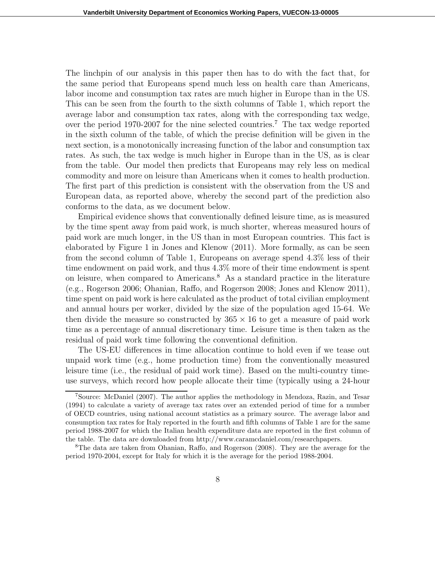The linchpin of our analysis in this paper then has to do with the fact that, for the same period that Europeans spend much less on health care than Americans, labor income and consumption tax rates are much higher in Europe than in the US. This can be seen from the fourth to the sixth columns of Table 1, which report the average labor and consumption tax rates, along with the corresponding tax wedge, over the period 1970-2007 for the nine selected countries.<sup>7</sup> The tax wedge reported in the sixth column of the table, of which the precise definition will be given in the next section, is a monotonically increasing function of the labor and consumption tax rates. As such, the tax wedge is much higher in Europe than in the US, as is clear from the table. Our model then predicts that Europeans may rely less on medical commodity and more on leisure than Americans when it comes to health production. The first part of this prediction is consistent with the observation from the US and European data, as reported above, whereby the second part of the prediction also conforms to the data, as we document below.

Empirical evidence shows that conventionally defined leisure time, as is measured by the time spent away from paid work, is much shorter, whereas measured hours of paid work are much longer, in the US than in most European countries. This fact is elaborated by Figure 1 in Jones and Klenow (2011). More formally, as can be seen from the second column of Table 1, Europeans on average spend 4.3% less of their time endowment on paid work, and thus 4.3% more of their time endowment is spent on leisure, when compared to Americans.<sup>8</sup> As a standard practice in the literature (e.g., Rogerson 2006; Ohanian, Raffo, and Rogerson 2008; Jones and Klenow 2011), time spent on paid work is here calculated as the product of total civilian employment and annual hours per worker, divided by the size of the population aged 15-64. We then divide the measure so constructed by  $365 \times 16$  to get a measure of paid work time as a percentage of annual discretionary time. Leisure time is then taken as the residual of paid work time following the conventional definition.

The US-EU differences in time allocation continue to hold even if we tease out unpaid work time (e.g., home production time) from the conventionally measured leisure time (i.e., the residual of paid work time). Based on the multi-country timeuse surveys, which record how people allocate their time (typically using a 24-hour

<sup>7</sup>Source: McDaniel (2007). The author applies the methodology in Mendoza, Razin, and Tesar (1994) to calculate a variety of average tax rates over an extended period of time for a number of OECD countries, using national account statistics as a primary source. The average labor and consumption tax rates for Italy reported in the fourth and fifth columns of Table 1 are for the same period 1988-2007 for which the Italian health expenditure data are reported in the first column of the table. The data are downloaded from http://www.caramcdaniel.com/researchpapers.

<sup>8</sup>The data are taken from Ohanian, Raffo, and Rogerson (2008). They are the average for the period 1970-2004, except for Italy for which it is the average for the period 1988-2004.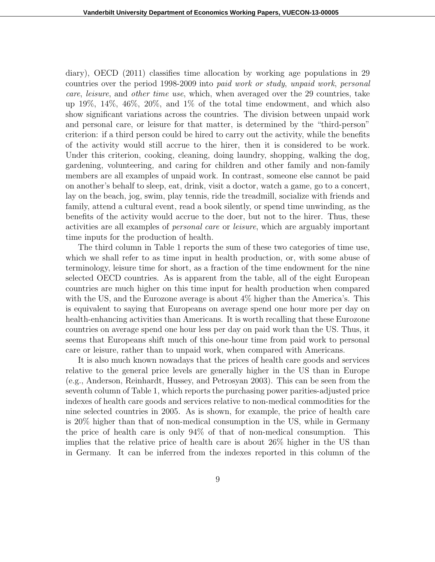diary), OECD (2011) classifies time allocation by working age populations in 29 countries over the period 1998-2009 into paid work or study, unpaid work, personal care, leisure, and other time use, which, when averaged over the 29 countries, take up 19%, 14%, 46%, 20%, and 1% of the total time endowment, and which also show significant variations across the countries. The division between unpaid work and personal care, or leisure for that matter, is determined by the "third-person" criterion: if a third person could be hired to carry out the activity, while the benefits of the activity would still accrue to the hirer, then it is considered to be work. Under this criterion, cooking, cleaning, doing laundry, shopping, walking the dog, gardening, volunteering, and caring for children and other family and non-family members are all examples of unpaid work. In contrast, someone else cannot be paid on another's behalf to sleep, eat, drink, visit a doctor, watch a game, go to a concert, lay on the beach, jog, swim, play tennis, ride the treadmill, socialize with friends and family, attend a cultural event, read a book silently, or spend time unwinding, as the benefits of the activity would accrue to the doer, but not to the hirer. Thus, these activities are all examples of personal care or leisure, which are arguably important time inputs for the production of health.

The third column in Table 1 reports the sum of these two categories of time use, which we shall refer to as time input in health production, or, with some abuse of terminology, leisure time for short, as a fraction of the time endowment for the nine selected OECD countries. As is apparent from the table, all of the eight European countries are much higher on this time input for health production when compared with the US, and the Eurozone average is about 4% higher than the America's. This is equivalent to saying that Europeans on average spend one hour more per day on health-enhancing activities than Americans. It is worth recalling that these Eurozone countries on average spend one hour less per day on paid work than the US. Thus, it seems that Europeans shift much of this one-hour time from paid work to personal care or leisure, rather than to unpaid work, when compared with Americans.

It is also much known nowadays that the prices of health care goods and services relative to the general price levels are generally higher in the US than in Europe (e.g., Anderson, Reinhardt, Hussey, and Petrosyan 2003). This can be seen from the seventh column of Table 1, which reports the purchasing power parities-adjusted price indexes of health care goods and services relative to non-medical commodities for the nine selected countries in 2005. As is shown, for example, the price of health care is 20% higher than that of non-medical consumption in the US, while in Germany the price of health care is only 94% of that of non-medical consumption. This implies that the relative price of health care is about 26% higher in the US than in Germany. It can be inferred from the indexes reported in this column of the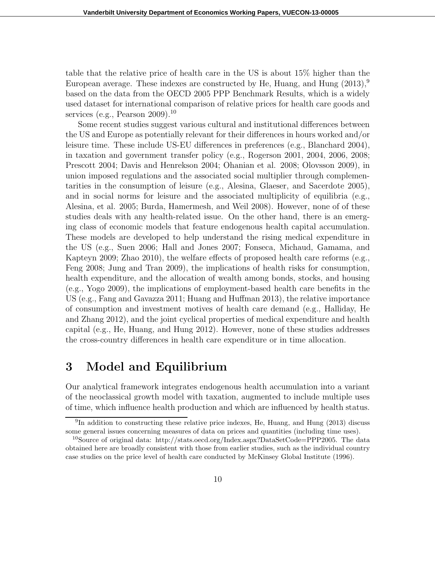table that the relative price of health care in the US is about 15% higher than the European average. These indexes are constructed by He, Huang, and Hung  $(2013)$ ,  $9$ based on the data from the OECD 2005 PPP Benchmark Results, which is a widely used dataset for international comparison of relative prices for health care goods and services (e.g., Pearson  $2009$ ).<sup>10</sup>

Some recent studies suggest various cultural and institutional differences between the US and Europe as potentially relevant for their differences in hours worked and/or leisure time. These include US-EU differences in preferences (e.g., Blanchard 2004), in taxation and government transfer policy (e.g., Rogerson 2001, 2004, 2006, 2008; Prescott 2004; Davis and Henrekson 2004; Ohanian et al. 2008; Olovsson 2009), in union imposed regulations and the associated social multiplier through complementarities in the consumption of leisure (e.g., Alesina, Glaeser, and Sacerdote 2005), and in social norms for leisure and the associated multiplicity of equilibria (e.g., Alesina, et al. 2005; Burda, Hamermesh, and Weil 2008). However, none of of these studies deals with any health-related issue. On the other hand, there is an emerging class of economic models that feature endogenous health capital accumulation. These models are developed to help understand the rising medical expenditure in the US (e.g., Suen 2006; Hall and Jones 2007; Fonseca, Michaud, Gamama, and Kapteyn 2009; Zhao 2010), the welfare effects of proposed health care reforms (e.g., Feng 2008; Jung and Tran 2009), the implications of health risks for consumption, health expenditure, and the allocation of wealth among bonds, stocks, and housing (e.g., Yogo 2009), the implications of employment-based health care benefits in the US (e.g., Fang and Gavazza 2011; Huang and Huffman 2013), the relative importance of consumption and investment motives of health care demand (e.g., Halliday, He and Zhang 2012), and the joint cyclical properties of medical expenditure and health capital (e.g., He, Huang, and Hung 2012). However, none of these studies addresses the cross-country differences in health care expenditure or in time allocation.

# 3 Model and Equilibrium

Our analytical framework integrates endogenous health accumulation into a variant of the neoclassical growth model with taxation, augmented to include multiple uses of time, which influence health production and which are influenced by health status.

<sup>&</sup>lt;sup>9</sup>In addition to constructing these relative price indexes, He, Huang, and Hung (2013) discuss some general issues concerning measures of data on prices and quantities (including time uses).

<sup>10</sup>Source of original data: http://stats.oecd.org/Index.aspx?DataSetCode=PPP2005. The data obtained here are broadly consistent with those from earlier studies, such as the individual country case studies on the price level of health care conducted by McKinsey Global Institute (1996).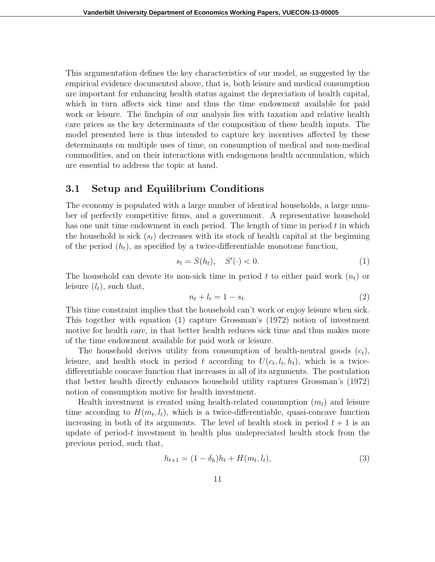This argumentation defines the key characteristics of our model, as suggested by the empirical evidence documented above, that is, both leisure and medical consumption are important for enhancing health status against the depreciation of health capital, which in turn affects sick time and thus the time endowment available for paid work or leisure. The linchpin of our analysis lies with taxation and relative health care prices as the key determinants of the composition of these health inputs. The model presented here is thus intended to capture key incentives affected by these determinants on multiple uses of time, on consumption of medical and non-medical commodities, and on their interactions with endogenous health accumulation, which are essential to address the topic at hand.

#### 3.1 Setup and Equilibrium Conditions

The economy is populated with a large number of identical households, a large number of perfectly competitive firms, and a government. A representative household has one unit time endowment in each period. The length of time in period  $t$  in which the household is sick  $(s_t)$  decreases with its stock of health capital at the beginning of the period  $(h_t)$ , as specified by a twice-differentiable monotone function,

$$
s_t = S(h_t), \quad S'(\cdot) < 0. \tag{1}
$$

The household can devote its non-sick time in period t to either paid work  $(n_t)$  or leisure  $(l_t)$ , such that,

$$
n_t + l_t = 1 - s_t. \tag{2}
$$

This time constraint implies that the household can't work or enjoy leisure when sick. This together with equation (1) capture Grossman's (1972) notion of investment motive for health care, in that better health reduces sick time and thus makes more of the time endowment available for paid work or leisure.

The household derives utility from consumption of health-neutral goods  $(c_t)$ , leisure, and health stock in period t according to  $U(c_t, l_t, h_t)$ , which is a twicedifferentiable concave function that increases in all of its arguments. The postulation that better health directly enhances household utility captures Grossman's (1972) notion of consumption motive for health investment.

Health investment is created using health-related consumption  $(m_t)$  and leisure time according to  $H(m_t, l_t)$ , which is a twice-differentiable, quasi-concave function increasing in both of its arguments. The level of health stock in period  $t + 1$  is an update of period-t investment in health plus undepreciated health stock from the previous period, such that,

$$
h_{t+1} = (1 - \delta_h)h_t + H(m_t, l_t),
$$
\n(3)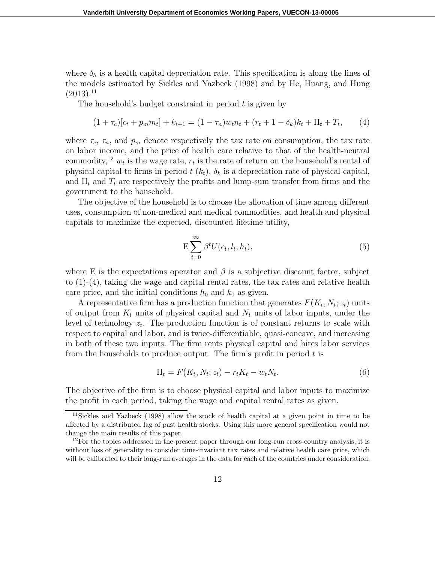where  $\delta_h$  is a health capital depreciation rate. This specification is along the lines of the models estimated by Sickles and Yazbeck (1998) and by He, Huang, and Hung  $(2013).<sup>11</sup>$ 

The household's budget constraint in period  $t$  is given by

$$
(1 + \tau_c)[c_t + p_m m_t] + k_{t+1} = (1 - \tau_n)w_t n_t + (r_t + 1 - \delta_k)k_t + \Pi_t + T_t, \qquad (4)
$$

where  $\tau_c$ ,  $\tau_n$ , and  $p_m$  denote respectively the tax rate on consumption, the tax rate on labor income, and the price of health care relative to that of the health-neutral commodity,<sup>12</sup>  $w_t$  is the wage rate,  $r_t$  is the rate of return on the household's rental of physical capital to firms in period  $t(k_t)$ ,  $\delta_k$  is a depreciation rate of physical capital, and  $\Pi_t$  and  $T_t$  are respectively the profits and lump-sum transfer from firms and the government to the household.

The objective of the household is to choose the allocation of time among different uses, consumption of non-medical and medical commodities, and health and physical capitals to maximize the expected, discounted lifetime utility,

$$
E\sum_{t=0}^{\infty} \beta^t U(c_t, l_t, h_t), \tag{5}
$$

where E is the expectations operator and  $\beta$  is a subjective discount factor, subject to  $(1)-(4)$ , taking the wage and capital rental rates, the tax rates and relative health care price, and the initial conditions  $h_0$  and  $k_0$  as given.

A representative firm has a production function that generates  $F(K_t, N_t; z_t)$  units of output from  $K_t$  units of physical capital and  $N_t$  units of labor inputs, under the level of technology  $z_t$ . The production function is of constant returns to scale with respect to capital and labor, and is twice-differentiable, quasi-concave, and increasing in both of these two inputs. The firm rents physical capital and hires labor services from the households to produce output. The firm's profit in period  $t$  is

$$
\Pi_t = F(K_t, N_t; z_t) - r_t K_t - w_t N_t. \tag{6}
$$

The objective of the firm is to choose physical capital and labor inputs to maximize the profit in each period, taking the wage and capital rental rates as given.

<sup>11</sup>Sickles and Yazbeck (1998) allow the stock of health capital at a given point in time to be affected by a distributed lag of past health stocks. Using this more general specification would not change the main results of this paper.

 $12$ For the topics addressed in the present paper through our long-run cross-country analysis, it is without loss of generality to consider time-invariant tax rates and relative health care price, which will be calibrated to their long-run averages in the data for each of the countries under consideration.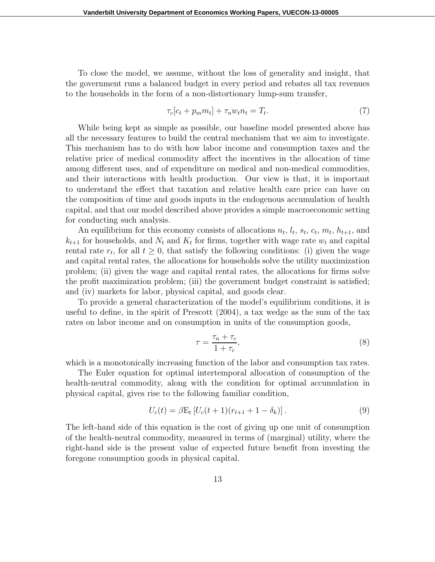To close the model, we assume, without the loss of generality and insight, that the government runs a balanced budget in every period and rebates all tax revenues to the households in the form of a non-distortionary lump-sum transfer,

$$
\tau_c[c_t + p_m m_t] + \tau_n w_t n_t = T_t. \tag{7}
$$

While being kept as simple as possible, our baseline model presented above has all the necessary features to build the central mechanism that we aim to investigate. This mechanism has to do with how labor income and consumption taxes and the relative price of medical commodity affect the incentives in the allocation of time among different uses, and of expenditure on medical and non-medical commodities, and their interactions with health production. Our view is that, it is important to understand the effect that taxation and relative health care price can have on the composition of time and goods inputs in the endogenous accumulation of health capital, and that our model described above provides a simple macroeconomic setting for conducting such analysis.

An equilibrium for this economy consists of allocations  $n_t$ ,  $l_t$ ,  $s_t$ ,  $c_t$ ,  $m_t$ ,  $h_{t+1}$ , and  $k_{t+1}$  for households, and  $N_t$  and  $K_t$  for firms, together with wage rate  $w_t$  and capital rental rate  $r_t$ , for all  $t \geq 0$ , that satisfy the following conditions: (i) given the wage and capital rental rates, the allocations for households solve the utility maximization problem; (ii) given the wage and capital rental rates, the allocations for firms solve the profit maximization problem; (iii) the government budget constraint is satisfied; and (iv) markets for labor, physical capital, and goods clear.

To provide a general characterization of the model's equilibrium conditions, it is useful to define, in the spirit of Prescott (2004), a tax wedge as the sum of the tax rates on labor income and on consumption in units of the consumption goods,

$$
\tau = \frac{\tau_n + \tau_c}{1 + \tau_c},\tag{8}
$$

which is a monotonically increasing function of the labor and consumption tax rates.

The Euler equation for optimal intertemporal allocation of consumption of the health-neutral commodity, along with the condition for optimal accumulation in physical capital, gives rise to the following familiar condition,

$$
U_c(t) = \beta E_t \left[ U_c(t+1)(r_{t+1} + 1 - \delta_k) \right]. \tag{9}
$$

The left-hand side of this equation is the cost of giving up one unit of consumption of the health-neutral commodity, measured in terms of (marginal) utility, where the right-hand side is the present value of expected future benefit from investing the foregone consumption goods in physical capital.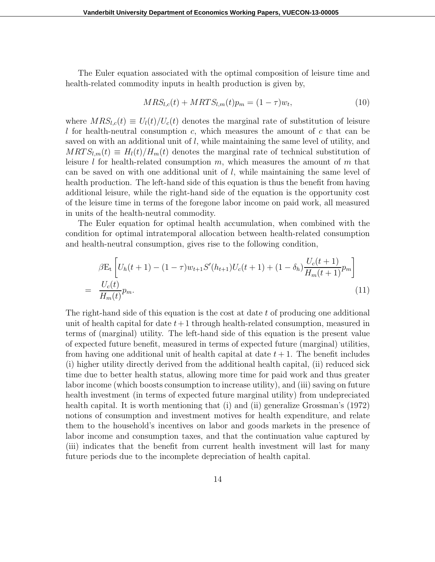The Euler equation associated with the optimal composition of leisure time and health-related commodity inputs in health production is given by,

$$
MRS_{l,c}(t) + MRTS_{l,m}(t)p_m = (1 - \tau)w_t,
$$
\n(10)

where  $MRS_{l,c}(t) \equiv U_l(t)/U_c(t)$  denotes the marginal rate of substitution of leisure l for health-neutral consumption c, which measures the amount of c that can be saved on with an additional unit of l, while maintaining the same level of utility, and  $MRTS_{l,m}(t) \equiv H_l(t)/H_m(t)$  denotes the marginal rate of technical substitution of leisure l for health-related consumption  $m$ , which measures the amount of  $m$  that can be saved on with one additional unit of  $l$ , while maintaining the same level of health production. The left-hand side of this equation is thus the benefit from having additional leisure, while the right-hand side of the equation is the opportunity cost of the leisure time in terms of the foregone labor income on paid work, all measured in units of the health-neutral commodity.

The Euler equation for optimal health accumulation, when combined with the condition for optimal intratemporal allocation between health-related consumption and health-neutral consumption, gives rise to the following condition,

$$
\beta E_t \left[ U_h(t+1) - (1-\tau) w_{t+1} S'(h_{t+1}) U_c(t+1) + (1-\delta_h) \frac{U_c(t+1)}{H_m(t+1)} p_m \right]
$$
  
= 
$$
\frac{U_c(t)}{H_m(t)} p_m.
$$
 (11)

The right-hand side of this equation is the cost at date  $t$  of producing one additional unit of health capital for date  $t+1$  through health-related consumption, measured in terms of (marginal) utility. The left-hand side of this equation is the present value of expected future benefit, measured in terms of expected future (marginal) utilities, from having one additional unit of health capital at date  $t + 1$ . The benefit includes (i) higher utility directly derived from the additional health capital, (ii) reduced sick time due to better health status, allowing more time for paid work and thus greater labor income (which boosts consumption to increase utility), and (iii) saving on future health investment (in terms of expected future marginal utility) from undepreciated health capital. It is worth mentioning that (i) and (ii) generalize Grossman's (1972) notions of consumption and investment motives for health expenditure, and relate them to the household's incentives on labor and goods markets in the presence of labor income and consumption taxes, and that the continuation value captured by (iii) indicates that the benefit from current health investment will last for many future periods due to the incomplete depreciation of health capital.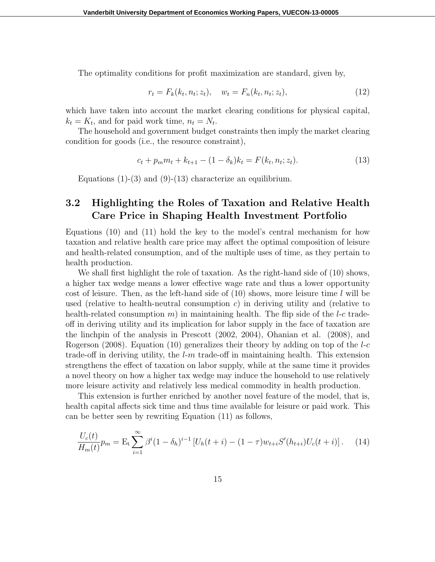The optimality conditions for profit maximization are standard, given by,

$$
r_t = F_k(k_t, n_t; z_t), \quad w_t = F_n(k_t, n_t; z_t), \tag{12}
$$

which have taken into account the market clearing conditions for physical capital,  $k_t = K_t$ , and for paid work time,  $n_t = N_t$ .

The household and government budget constraints then imply the market clearing condition for goods (i.e., the resource constraint),

$$
c_t + p_m m_t + k_{t+1} - (1 - \delta_k) k_t = F(k_t, n_t; z_t).
$$
\n(13)

Equations  $(1)-(3)$  and  $(9)-(13)$  characterize an equilibrium.

### 3.2 Highlighting the Roles of Taxation and Relative Health Care Price in Shaping Health Investment Portfolio

Equations (10) and (11) hold the key to the model's central mechanism for how taxation and relative health care price may affect the optimal composition of leisure and health-related consumption, and of the multiple uses of time, as they pertain to health production.

We shall first highlight the role of taxation. As the right-hand side of (10) shows, a higher tax wedge means a lower effective wage rate and thus a lower opportunity cost of leisure. Then, as the left-hand side of  $(10)$  shows, more leisure time l will be used (relative to health-neutral consumption  $c$ ) in deriving utility and (relative to health-related consumption m) in maintaining health. The flip side of the  $l$ -c tradeoff in deriving utility and its implication for labor supply in the face of taxation are the linchpin of the analysis in Prescott (2002, 2004), Ohanian et al. (2008), and Rogerson (2008). Equation (10) generalizes their theory by adding on top of the  $l-c$ trade-off in deriving utility, the  $l-m$  trade-off in maintaining health. This extension strengthens the effect of taxation on labor supply, while at the same time it provides a novel theory on how a higher tax wedge may induce the household to use relatively more leisure activity and relatively less medical commodity in health production.

This extension is further enriched by another novel feature of the model, that is, health capital affects sick time and thus time available for leisure or paid work. This can be better seen by rewriting Equation (11) as follows,

$$
\frac{U_c(t)}{H_m(t)}p_m = \mathcal{E}_t \sum_{i=1}^{\infty} \beta^i (1 - \delta_h)^{i-1} \left[ U_h(t+i) - (1 - \tau) w_{t+i} S'(h_{t+i}) U_c(t+i) \right]. \tag{14}
$$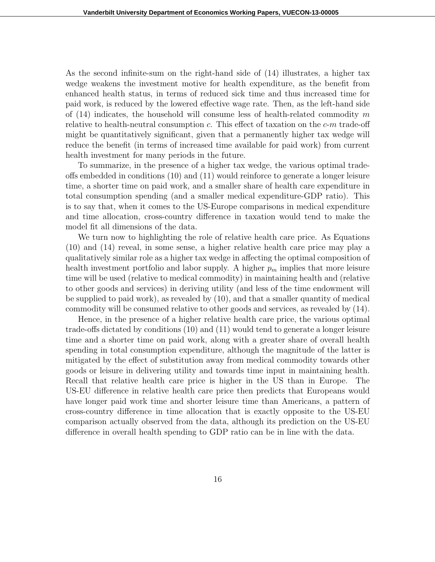As the second infinite-sum on the right-hand side of (14) illustrates, a higher tax wedge weakens the investment motive for health expenditure, as the benefit from enhanced health status, in terms of reduced sick time and thus increased time for paid work, is reduced by the lowered effective wage rate. Then, as the left-hand side of  $(14)$  indicates, the household will consume less of health-related commodity m relative to health-neutral consumption  $c$ . This effect of taxation on the  $c$ -m trade-off might be quantitatively significant, given that a permanently higher tax wedge will reduce the benefit (in terms of increased time available for paid work) from current health investment for many periods in the future.

To summarize, in the presence of a higher tax wedge, the various optimal tradeoffs embedded in conditions (10) and (11) would reinforce to generate a longer leisure time, a shorter time on paid work, and a smaller share of health care expenditure in total consumption spending (and a smaller medical expenditure-GDP ratio). This is to say that, when it comes to the US-Europe comparisons in medical expenditure and time allocation, cross-country difference in taxation would tend to make the model fit all dimensions of the data.

We turn now to highlighting the role of relative health care price. As Equations (10) and (14) reveal, in some sense, a higher relative health care price may play a qualitatively similar role as a higher tax wedge in affecting the optimal composition of health investment portfolio and labor supply. A higher  $p_m$  implies that more leisure time will be used (relative to medical commodity) in maintaining health and (relative to other goods and services) in deriving utility (and less of the time endowment will be supplied to paid work), as revealed by (10), and that a smaller quantity of medical commodity will be consumed relative to other goods and services, as revealed by (14).

Hence, in the presence of a higher relative health care price, the various optimal trade-offs dictated by conditions (10) and (11) would tend to generate a longer leisure time and a shorter time on paid work, along with a greater share of overall health spending in total consumption expenditure, although the magnitude of the latter is mitigated by the effect of substitution away from medical commodity towards other goods or leisure in delivering utility and towards time input in maintaining health. Recall that relative health care price is higher in the US than in Europe. The US-EU difference in relative health care price then predicts that Europeans would have longer paid work time and shorter leisure time than Americans, a pattern of cross-country difference in time allocation that is exactly opposite to the US-EU comparison actually observed from the data, although its prediction on the US-EU difference in overall health spending to GDP ratio can be in line with the data.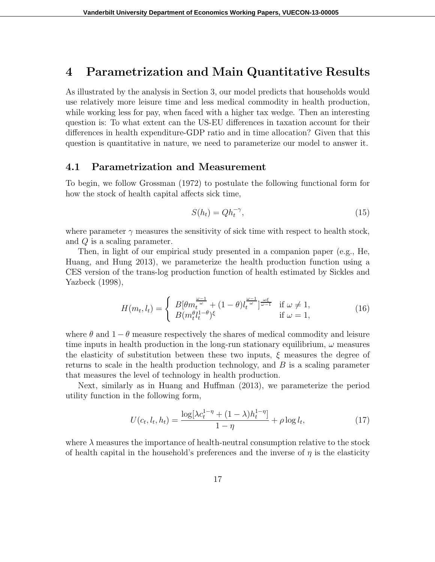### 4 Parametrization and Main Quantitative Results

As illustrated by the analysis in Section 3, our model predicts that households would use relatively more leisure time and less medical commodity in health production, while working less for pay, when faced with a higher tax wedge. Then an interesting question is: To what extent can the US-EU differences in taxation account for their differences in health expenditure-GDP ratio and in time allocation? Given that this question is quantitative in nature, we need to parameterize our model to answer it.

#### 4.1 Parametrization and Measurement

To begin, we follow Grossman (1972) to postulate the following functional form for how the stock of health capital affects sick time,

$$
S(h_t) = Q h_t^{-\gamma},\tag{15}
$$

where parameter  $\gamma$  measures the sensitivity of sick time with respect to health stock, and Q is a scaling parameter.

Then, in light of our empirical study presented in a companion paper (e.g., He, Huang, and Hung 2013), we parameterize the health production function using a CES version of the trans-log production function of health estimated by Sickles and Yazbeck (1998),

$$
H(m_t, l_t) = \begin{cases} B[\theta m_t^{\frac{\omega - 1}{\omega}} + (1 - \theta) l_t^{\frac{\omega - 1}{\omega}}]^{\frac{\omega \xi}{\omega - 1}} & \text{if } \omega \neq 1, \\ B(m_t^{\theta} l_t^{1 - \theta})^{\xi} & \text{if } \omega = 1, \end{cases}
$$
(16)

where  $\theta$  and  $1 - \theta$  measure respectively the shares of medical commodity and leisure time inputs in health production in the long-run stationary equilibrium,  $\omega$  measures the elasticity of substitution between these two inputs,  $\xi$  measures the degree of returns to scale in the health production technology, and  $B$  is a scaling parameter that measures the level of technology in health production.

Next, similarly as in Huang and Huffman (2013), we parameterize the period utility function in the following form,

$$
U(c_t, l_t, h_t) = \frac{\log[\lambda c_t^{1-\eta} + (1-\lambda)h_t^{1-\eta}]}{1-\eta} + \rho \log l_t,
$$
\n(17)

where  $\lambda$  measures the importance of health-neutral consumption relative to the stock of health capital in the household's preferences and the inverse of  $\eta$  is the elasticity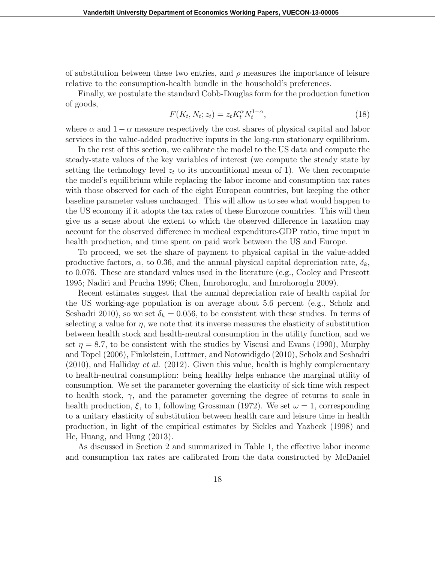of substitution between these two entries, and  $\rho$  measures the importance of leisure relative to the consumption-health bundle in the household's preferences.

Finally, we postulate the standard Cobb-Douglas form for the production function of goods,

$$
F(K_t, N_t; z_t) = z_t K_t^{\alpha} N_t^{1-\alpha},\tag{18}
$$

where  $\alpha$  and  $1 - \alpha$  measure respectively the cost shares of physical capital and labor services in the value-added productive inputs in the long-run stationary equilibrium.

In the rest of this section, we calibrate the model to the US data and compute the steady-state values of the key variables of interest (we compute the steady state by setting the technology level  $z_t$  to its unconditional mean of 1). We then recompute the model's equilibrium while replacing the labor income and consumption tax rates with those observed for each of the eight European countries, but keeping the other baseline parameter values unchanged. This will allow us to see what would happen to the US economy if it adopts the tax rates of these Eurozone countries. This will then give us a sense about the extent to which the observed difference in taxation may account for the observed difference in medical expenditure-GDP ratio, time input in health production, and time spent on paid work between the US and Europe.

To proceed, we set the share of payment to physical capital in the value-added productive factors,  $\alpha$ , to 0.36, and the annual physical capital depreciation rate,  $\delta_k$ , to 0.076. These are standard values used in the literature (e.g., Cooley and Prescott 1995; Nadiri and Prucha 1996; Chen, Imrohoroglu, and Imrohoroglu 2009).

Recent estimates suggest that the annual depreciation rate of health capital for the US working-age population is on average about 5.6 percent (e.g., Scholz and Seshadri 2010), so we set  $\delta_h = 0.056$ , to be consistent with these studies. In terms of selecting a value for  $\eta$ , we note that its inverse measures the elasticity of substitution between health stock and health-neutral consumption in the utility function, and we set  $\eta = 8.7$ , to be consistent with the studies by Viscusi and Evans (1990), Murphy and Topel (2006), Finkelstein, Luttmer, and Notowidigdo (2010), Scholz and Seshadri  $(2010)$ , and Halliday *et al.*  $(2012)$ . Given this value, health is highly complementary to health-neutral consumption: being healthy helps enhance the marginal utility of consumption. We set the parameter governing the elasticity of sick time with respect to health stock,  $\gamma$ , and the parameter governing the degree of returns to scale in health production,  $\xi$ , to 1, following Grossman (1972). We set  $\omega = 1$ , corresponding to a unitary elasticity of substitution between health care and leisure time in health production, in light of the empirical estimates by Sickles and Yazbeck (1998) and He, Huang, and Hung (2013).

As discussed in Section 2 and summarized in Table 1, the effective labor income and consumption tax rates are calibrated from the data constructed by McDaniel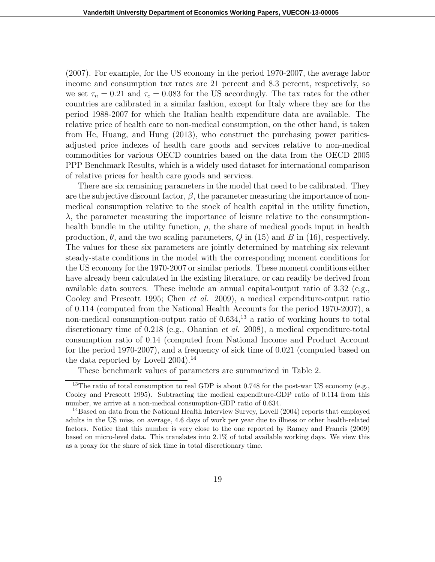(2007). For example, for the US economy in the period 1970-2007, the average labor income and consumption tax rates are 21 percent and 8.3 percent, respectively, so we set  $\tau_n = 0.21$  and  $\tau_c = 0.083$  for the US accordingly. The tax rates for the other countries are calibrated in a similar fashion, except for Italy where they are for the period 1988-2007 for which the Italian health expenditure data are available. The relative price of health care to non-medical consumption, on the other hand, is taken from He, Huang, and Hung (2013), who construct the purchasing power paritiesadjusted price indexes of health care goods and services relative to non-medical commodities for various OECD countries based on the data from the OECD 2005 PPP Benchmark Results, which is a widely used dataset for international comparison of relative prices for health care goods and services.

There are six remaining parameters in the model that need to be calibrated. They are the subjective discount factor,  $\beta$ , the parameter measuring the importance of nonmedical consumption relative to the stock of health capital in the utility function,  $\lambda$ , the parameter measuring the importance of leisure relative to the consumptionhealth bundle in the utility function,  $\rho$ , the share of medical goods input in health production,  $\theta$ , and the two scaling parameters, Q in (15) and B in (16), respectively. The values for these six parameters are jointly determined by matching six relevant steady-state conditions in the model with the corresponding moment conditions for the US economy for the 1970-2007 or similar periods. These moment conditions either have already been calculated in the existing literature, or can readily be derived from available data sources. These include an annual capital-output ratio of 3.32 (e.g., Cooley and Prescott 1995; Chen et al. 2009), a medical expenditure-output ratio of 0.114 (computed from the National Health Accounts for the period 1970-2007), a non-medical consumption-output ratio of  $0.634$ ,<sup>13</sup> a ratio of working hours to total discretionary time of 0.218 (e.g., Ohanian *et al.* 2008), a medical expenditure-total consumption ratio of 0.14 (computed from National Income and Product Account for the period 1970-2007), and a frequency of sick time of 0.021 (computed based on the data reported by Lovell  $2004$ .<sup>14</sup>

These benchmark values of parameters are summarized in Table 2.

<sup>&</sup>lt;sup>13</sup>The ratio of total consumption to real GDP is about 0.748 for the post-war US economy (e.g., Cooley and Prescott 1995). Subtracting the medical expenditure-GDP ratio of 0.114 from this number, we arrive at a non-medical consumption-GDP ratio of 0.634.

<sup>&</sup>lt;sup>14</sup>Based on data from the National Health Interview Survey, Lovell (2004) reports that employed adults in the US miss, on average, 4.6 days of work per year due to illness or other health-related factors. Notice that this number is very close to the one reported by Ramey and Francis (2009) based on micro-level data. This translates into 2.1% of total available working days. We view this as a proxy for the share of sick time in total discretionary time.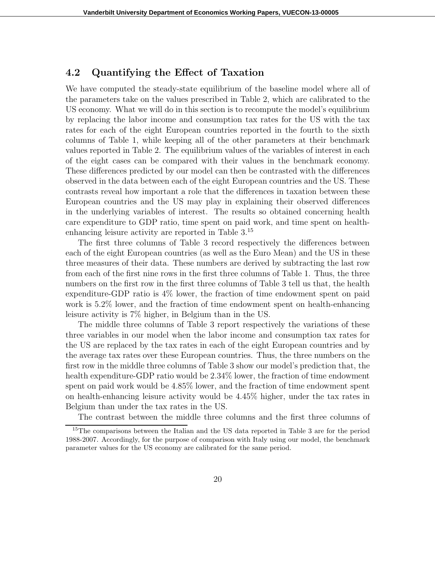#### 4.2 Quantifying the Effect of Taxation

We have computed the steady-state equilibrium of the baseline model where all of the parameters take on the values prescribed in Table 2, which are calibrated to the US economy. What we will do in this section is to recompute the model's equilibrium by replacing the labor income and consumption tax rates for the US with the tax rates for each of the eight European countries reported in the fourth to the sixth columns of Table 1, while keeping all of the other parameters at their benchmark values reported in Table 2. The equilibrium values of the variables of interest in each of the eight cases can be compared with their values in the benchmark economy. These differences predicted by our model can then be contrasted with the differences observed in the data between each of the eight European countries and the US. These contrasts reveal how important a role that the differences in taxation between these European countries and the US may play in explaining their observed differences in the underlying variables of interest. The results so obtained concerning health care expenditure to GDP ratio, time spent on paid work, and time spent on healthenhancing leisure activity are reported in Table 3.<sup>15</sup>

The first three columns of Table 3 record respectively the differences between each of the eight European countries (as well as the Euro Mean) and the US in these three measures of their data. These numbers are derived by subtracting the last row from each of the first nine rows in the first three columns of Table 1. Thus, the three numbers on the first row in the first three columns of Table 3 tell us that, the health expenditure-GDP ratio is 4% lower, the fraction of time endowment spent on paid work is 5.2% lower, and the fraction of time endowment spent on health-enhancing leisure activity is 7% higher, in Belgium than in the US.

The middle three columns of Table 3 report respectively the variations of these three variables in our model when the labor income and consumption tax rates for the US are replaced by the tax rates in each of the eight European countries and by the average tax rates over these European countries. Thus, the three numbers on the first row in the middle three columns of Table 3 show our model's prediction that, the health expenditure-GDP ratio would be  $2.34\%$  lower, the fraction of time endowment spent on paid work would be 4.85% lower, and the fraction of time endowment spent on health-enhancing leisure activity would be 4.45% higher, under the tax rates in Belgium than under the tax rates in the US.

The contrast between the middle three columns and the first three columns of

<sup>&</sup>lt;sup>15</sup>The comparisons between the Italian and the US data reported in Table 3 are for the period 1988-2007. Accordingly, for the purpose of comparison with Italy using our model, the benchmark parameter values for the US economy are calibrated for the same period.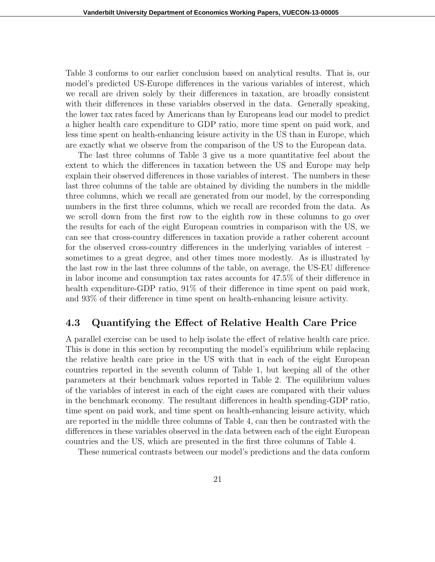Table 3 conforms to our earlier conclusion based on analytical results. That is, our model's predicted US-Europe differences in the various variables of interest, which we recall are driven solely by their differences in taxation, are broadly consistent with their differences in these variables observed in the data. Generally speaking, the lower tax rates faced by Americans than by Europeans lead our model to predict a higher health care expenditure to GDP ratio, more time spent on paid work, and less time spent on health-enhancing leisure activity in the US than in Europe, which are exactly what we observe from the comparison of the US to the European data.

The last three columns of Table 3 give us a more quantitative feel about the extent to which the differences in taxation between the US and Europe may help explain their observed differences in those variables of interest. The numbers in these last three columns of the table are obtained by dividing the numbers in the middle three columns, which we recall are generated from our model, by the corresponding numbers in the first three columns, which we recall are recorded from the data. As we scroll down from the first row to the eighth row in these columns to go over the results for each of the eight European countries in comparison with the US, we can see that cross-country differences in taxation provide a rather coherent account for the observed cross-country differences in the underlying variables of interest – sometimes to a great degree, and other times more modestly. As is illustrated by the last row in the last three columns of the table, on average, the US-EU difference in labor income and consumption tax rates accounts for 47.5% of their difference in health expenditure-GDP ratio,  $91\%$  of their difference in time spent on paid work, and 93% of their difference in time spent on health-enhancing leisure activity.

#### 4.3 Quantifying the Effect of Relative Health Care Price

A parallel exercise can be used to help isolate the effect of relative health care price. This is done in this section by recomputing the model's equilibrium while replacing the relative health care price in the US with that in each of the eight European countries reported in the seventh column of Table 1, but keeping all of the other parameters at their benchmark values reported in Table 2. The equilibrium values of the variables of interest in each of the eight cases are compared with their values in the benchmark economy. The resultant differences in health spending-GDP ratio, time spent on paid work, and time spent on health-enhancing leisure activity, which are reported in the middle three columns of Table 4, can then be contrasted with the differences in these variables observed in the data between each of the eight European countries and the US, which are presented in the first three columns of Table 4.

These numerical contrasts between our model's predictions and the data conform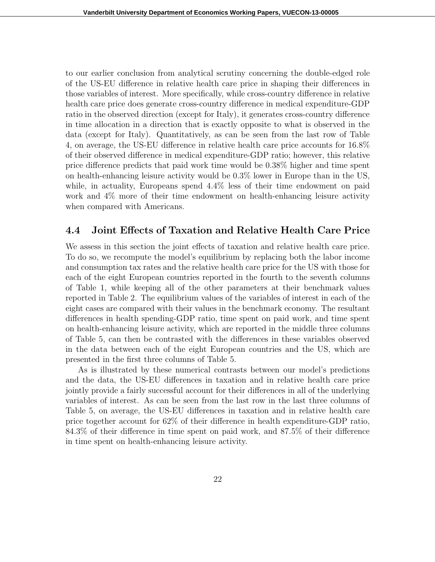to our earlier conclusion from analytical scrutiny concerning the double-edged role of the US-EU difference in relative health care price in shaping their differences in those variables of interest. More specifically, while cross-country difference in relative health care price does generate cross-country difference in medical expenditure-GDP ratio in the observed direction (except for Italy), it generates cross-country difference in time allocation in a direction that is exactly opposite to what is observed in the data (except for Italy). Quantitatively, as can be seen from the last row of Table 4, on average, the US-EU difference in relative health care price accounts for 16.8% of their observed difference in medical expenditure-GDP ratio; however, this relative price difference predicts that paid work time would be 0.38% higher and time spent on health-enhancing leisure activity would be 0.3% lower in Europe than in the US, while, in actuality, Europeans spend  $4.4\%$  less of their time endowment on paid work and 4% more of their time endowment on health-enhancing leisure activity when compared with Americans.

#### 4.4 Joint Effects of Taxation and Relative Health Care Price

We assess in this section the joint effects of taxation and relative health care price. To do so, we recompute the model's equilibrium by replacing both the labor income and consumption tax rates and the relative health care price for the US with those for each of the eight European countries reported in the fourth to the seventh columns of Table 1, while keeping all of the other parameters at their benchmark values reported in Table 2. The equilibrium values of the variables of interest in each of the eight cases are compared with their values in the benchmark economy. The resultant differences in health spending-GDP ratio, time spent on paid work, and time spent on health-enhancing leisure activity, which are reported in the middle three columns of Table 5, can then be contrasted with the differences in these variables observed in the data between each of the eight European countries and the US, which are presented in the first three columns of Table 5.

As is illustrated by these numerical contrasts between our model's predictions and the data, the US-EU differences in taxation and in relative health care price jointly provide a fairly successful account for their differences in all of the underlying variables of interest. As can be seen from the last row in the last three columns of Table 5, on average, the US-EU differences in taxation and in relative health care price together account for 62% of their difference in health expenditure-GDP ratio, 84.3% of their difference in time spent on paid work, and 87.5% of their difference in time spent on health-enhancing leisure activity.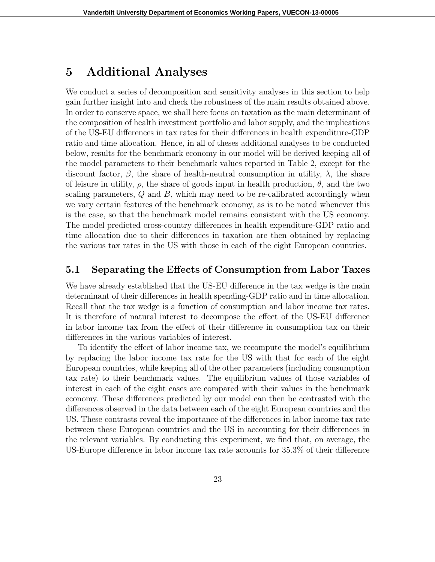### 5 Additional Analyses

We conduct a series of decomposition and sensitivity analyses in this section to help gain further insight into and check the robustness of the main results obtained above. In order to conserve space, we shall here focus on taxation as the main determinant of the composition of health investment portfolio and labor supply, and the implications of the US-EU differences in tax rates for their differences in health expenditure-GDP ratio and time allocation. Hence, in all of theses additional analyses to be conducted below, results for the benchmark economy in our model will be derived keeping all of the model parameters to their benchmark values reported in Table 2, except for the discount factor,  $\beta$ , the share of health-neutral consumption in utility,  $\lambda$ , the share of leisure in utility,  $\rho$ , the share of goods input in health production,  $\theta$ , and the two scaling parameters,  $Q$  and  $B$ , which may need to be re-calibrated accordingly when we vary certain features of the benchmark economy, as is to be noted whenever this is the case, so that the benchmark model remains consistent with the US economy. The model predicted cross-country differences in health expenditure-GDP ratio and time allocation due to their differences in taxation are then obtained by replacing the various tax rates in the US with those in each of the eight European countries.

#### 5.1 Separating the Effects of Consumption from Labor Taxes

We have already established that the US-EU difference in the tax wedge is the main determinant of their differences in health spending-GDP ratio and in time allocation. Recall that the tax wedge is a function of consumption and labor income tax rates. It is therefore of natural interest to decompose the effect of the US-EU difference in labor income tax from the effect of their difference in consumption tax on their differences in the various variables of interest.

To identify the effect of labor income tax, we recompute the model's equilibrium by replacing the labor income tax rate for the US with that for each of the eight European countries, while keeping all of the other parameters (including consumption tax rate) to their benchmark values. The equilibrium values of those variables of interest in each of the eight cases are compared with their values in the benchmark economy. These differences predicted by our model can then be contrasted with the differences observed in the data between each of the eight European countries and the US. These contrasts reveal the importance of the differences in labor income tax rate between these European countries and the US in accounting for their differences in the relevant variables. By conducting this experiment, we find that, on average, the US-Europe difference in labor income tax rate accounts for 35.3% of their difference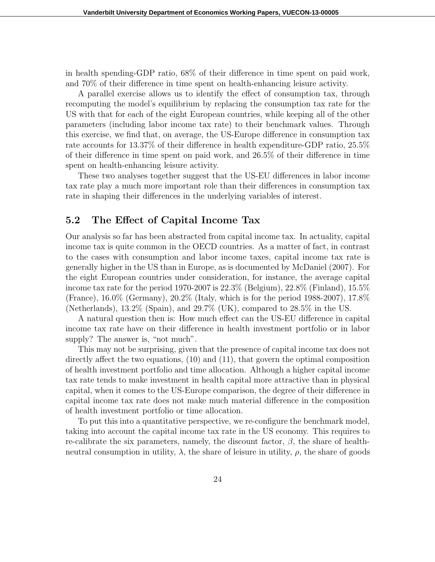in health spending-GDP ratio, 68% of their difference in time spent on paid work, and 70% of their difference in time spent on health-enhancing leisure activity.

A parallel exercise allows us to identify the effect of consumption tax, through recomputing the model's equilibrium by replacing the consumption tax rate for the US with that for each of the eight European countries, while keeping all of the other parameters (including labor income tax rate) to their benchmark values. Through this exercise, we find that, on average, the US-Europe difference in consumption tax rate accounts for 13.37% of their difference in health expenditure-GDP ratio, 25.5% of their difference in time spent on paid work, and 26.5% of their difference in time spent on health-enhancing leisure activity.

These two analyses together suggest that the US-EU differences in labor income tax rate play a much more important role than their differences in consumption tax rate in shaping their differences in the underlying variables of interest.

#### 5.2 The Effect of Capital Income Tax

Our analysis so far has been abstracted from capital income tax. In actuality, capital income tax is quite common in the OECD countries. As a matter of fact, in contrast to the cases with consumption and labor income taxes, capital income tax rate is generally higher in the US than in Europe, as is documented by McDaniel (2007). For the eight European countries under consideration, for instance, the average capital income tax rate for the period 1970-2007 is 22.3% (Belgium), 22.8% (Finland), 15.5% (France), 16.0% (Germany), 20.2% (Italy, which is for the period 1988-2007), 17.8% (Netherlands), 13.2% (Spain), and 29.7% (UK), compared to 28.5% in the US.

A natural question then is: How much effect can the US-EU difference in capital income tax rate have on their difference in health investment portfolio or in labor supply? The answer is, "not much".

This may not be surprising, given that the presence of capital income tax does not directly affect the two equations, (10) and (11), that govern the optimal composition of health investment portfolio and time allocation. Although a higher capital income tax rate tends to make investment in health capital more attractive than in physical capital, when it comes to the US-Europe comparison, the degree of their difference in capital income tax rate does not make much material difference in the composition of health investment portfolio or time allocation.

To put this into a quantitative perspective, we re-configure the benchmark model, taking into account the capital income tax rate in the US economy. This requires to re-calibrate the six parameters, namely, the discount factor,  $\beta$ , the share of healthneutral consumption in utility,  $\lambda$ , the share of leisure in utility,  $\rho$ , the share of goods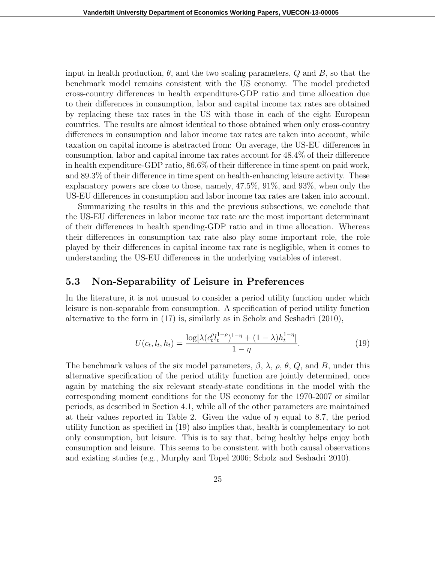input in health production,  $\theta$ , and the two scaling parameters,  $Q$  and  $B$ , so that the benchmark model remains consistent with the US economy. The model predicted cross-country differences in health expenditure-GDP ratio and time allocation due to their differences in consumption, labor and capital income tax rates are obtained by replacing these tax rates in the US with those in each of the eight European countries. The results are almost identical to those obtained when only cross-country differences in consumption and labor income tax rates are taken into account, while taxation on capital income is abstracted from: On average, the US-EU differences in consumption, labor and capital income tax rates account for 48.4% of their difference in health expenditure-GDP ratio, 86.6% of their difference in time spent on paid work, and 89.3% of their difference in time spent on health-enhancing leisure activity. These explanatory powers are close to those, namely, 47.5%, 91%, and 93%, when only the US-EU differences in consumption and labor income tax rates are taken into account.

Summarizing the results in this and the previous subsections, we conclude that the US-EU differences in labor income tax rate are the most important determinant of their differences in health spending-GDP ratio and in time allocation. Whereas their differences in consumption tax rate also play some important role, the role played by their differences in capital income tax rate is negligible, when it comes to understanding the US-EU differences in the underlying variables of interest.

#### 5.3 Non-Separability of Leisure in Preferences

In the literature, it is not unusual to consider a period utility function under which leisure is non-separable from consumption. A specification of period utility function alternative to the form in (17) is, similarly as in Scholz and Seshadri (2010),

$$
U(c_t, l_t, h_t) = \frac{\log[\lambda(c_t^{\rho}l_t^{1-\rho})^{1-\eta} + (1-\lambda)h_t^{1-\eta}]}{1-\eta}.
$$
\n(19)

The benchmark values of the six model parameters,  $\beta$ ,  $\lambda$ ,  $\rho$ ,  $\theta$ ,  $Q$ , and B, under this alternative specification of the period utility function are jointly determined, once again by matching the six relevant steady-state conditions in the model with the corresponding moment conditions for the US economy for the 1970-2007 or similar periods, as described in Section 4.1, while all of the other parameters are maintained at their values reported in Table 2. Given the value of  $\eta$  equal to 8.7, the period utility function as specified in (19) also implies that, health is complementary to not only consumption, but leisure. This is to say that, being healthy helps enjoy both consumption and leisure. This seems to be consistent with both causal observations and existing studies (e.g., Murphy and Topel 2006; Scholz and Seshadri 2010).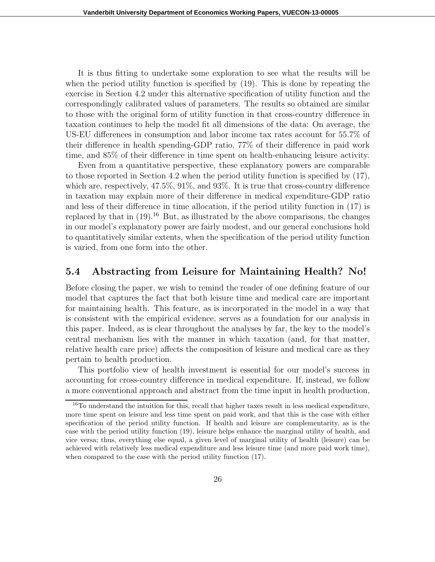It is thus fitting to undertake some exploration to see what the results will be when the period utility function is specified by (19). This is done by repeating the exercise in Section 4.2 under this alternative specification of utility function and the correspondingly calibrated values of parameters. The results so obtained are similar to those with the original form of utility function in that cross-country difference in taxation continues to help the model fit all dimensions of the data: On average, the US-EU differences in consumption and labor income tax rates account for 55.7% of their difference in health spending-GDP ratio, 77% of their difference in paid work time, and 85% of their difference in time spent on health-enhancing leisure activity.

Even from a quantitative perspective, these explanatory powers are comparable to those reported in Section 4.2 when the period utility function is specified by (17), which are, respectively, 47.5%, 91%, and 93%. It is true that cross-country difference in taxation may explain more of their difference in medical expenditure-GDP ratio and less of their difference in time allocation, if the period utility function in (17) is replaced by that in  $(19)^{16}$  But, as illustrated by the above comparisons, the changes in our model's explanatory power are fairly modest, and our general conclusions hold to quantitatively similar extents, when the specification of the period utility function is varied, from one form into the other.

#### 5.4 Abstracting from Leisure for Maintaining Health? No!

Before closing the paper, we wish to remind the reader of one defining feature of our model that captures the fact that both leisure time and medical care are important for maintaining health. This feature, as is incorporated in the model in a way that is consistent with the empirical evidence, serves as a foundation for our analysis in this paper. Indeed, as is clear throughout the analyses by far, the key to the model's central mechanism lies with the manner in which taxation (and, for that matter, relative health care price) affects the composition of leisure and medical care as they pertain to health production.

This portfolio view of health investment is essential for our model's success in accounting for cross-country difference in medical expenditure. If, instead, we follow a more conventional approach and abstract from the time input in health production,

<sup>&</sup>lt;sup>16</sup>To understand the intuition for this, recall that higher taxes result in less medical expenditure, more time spent on leisure and less time spent on paid work, and that this is the case with either specification of the period utility function. If health and leisure are complementarity, as is the case with the period utility function (19), leisure helps enhance the marginal utility of health, and vice versa; thus, everything else equal, a given level of marginal utility of health (leisure) can be achieved with relatively less medical expenditure and less leisure time (and more paid work time), when compared to the case with the period utility function (17).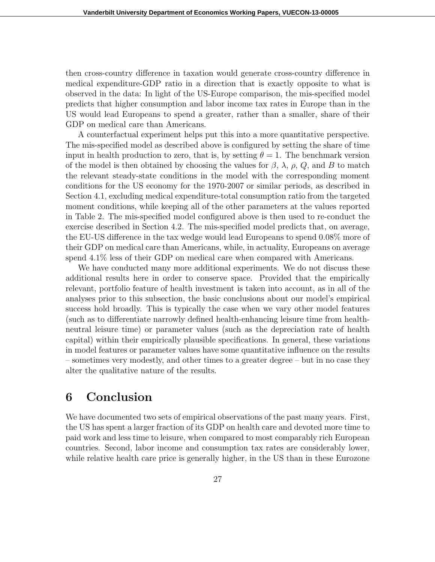then cross-country difference in taxation would generate cross-country difference in medical expenditure-GDP ratio in a direction that is exactly opposite to what is observed in the data: In light of the US-Europe comparison, the mis-specified model predicts that higher consumption and labor income tax rates in Europe than in the US would lead Europeans to spend a greater, rather than a smaller, share of their GDP on medical care than Americans.

A counterfactual experiment helps put this into a more quantitative perspective. The mis-specified model as described above is configured by setting the share of time input in health production to zero, that is, by setting  $\theta = 1$ . The benchmark version of the model is then obtained by choosing the values for  $\beta$ ,  $\lambda$ ,  $\rho$ ,  $Q$ , and B to match the relevant steady-state conditions in the model with the corresponding moment conditions for the US economy for the 1970-2007 or similar periods, as described in Section 4.1, excluding medical expenditure-total consumption ratio from the targeted moment conditions, while keeping all of the other parameters at the values reported in Table 2. The mis-specified model configured above is then used to re-conduct the exercise described in Section 4.2. The mis-specified model predicts that, on average, the EU-US difference in the tax wedge would lead Europeans to spend 0.08% more of their GDP on medical care than Americans, while, in actuality, Europeans on average spend  $4.1\%$  less of their GDP on medical care when compared with Americans.

We have conducted many more additional experiments. We do not discuss these additional results here in order to conserve space. Provided that the empirically relevant, portfolio feature of health investment is taken into account, as in all of the analyses prior to this subsection, the basic conclusions about our model's empirical success hold broadly. This is typically the case when we vary other model features (such as to differentiate narrowly defined health-enhancing leisure time from healthneutral leisure time) or parameter values (such as the depreciation rate of health capital) within their empirically plausible specifications. In general, these variations in model features or parameter values have some quantitative influence on the results – sometimes very modestly, and other times to a greater degree – but in no case they alter the qualitative nature of the results.

### 6 Conclusion

We have documented two sets of empirical observations of the past many years. First, the US has spent a larger fraction of its GDP on health care and devoted more time to paid work and less time to leisure, when compared to most comparably rich European countries. Second, labor income and consumption tax rates are considerably lower, while relative health care price is generally higher, in the US than in these Eurozone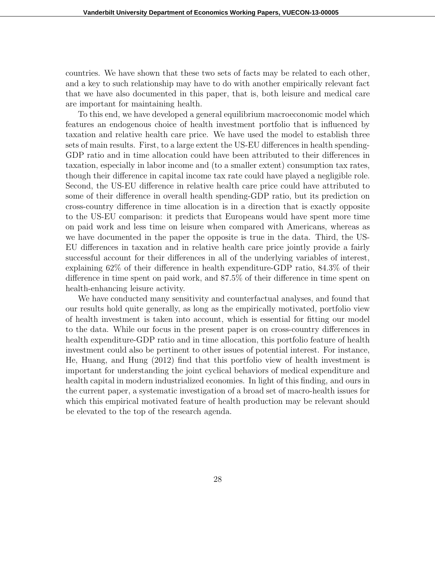countries. We have shown that these two sets of facts may be related to each other, and a key to such relationship may have to do with another empirically relevant fact that we have also documented in this paper, that is, both leisure and medical care are important for maintaining health.

To this end, we have developed a general equilibrium macroeconomic model which features an endogenous choice of health investment portfolio that is influenced by taxation and relative health care price. We have used the model to establish three sets of main results. First, to a large extent the US-EU differences in health spending-GDP ratio and in time allocation could have been attributed to their differences in taxation, especially in labor income and (to a smaller extent) consumption tax rates, though their difference in capital income tax rate could have played a negligible role. Second, the US-EU difference in relative health care price could have attributed to some of their difference in overall health spending-GDP ratio, but its prediction on cross-country difference in time allocation is in a direction that is exactly opposite to the US-EU comparison: it predicts that Europeans would have spent more time on paid work and less time on leisure when compared with Americans, whereas as we have documented in the paper the opposite is true in the data. Third, the US-EU differences in taxation and in relative health care price jointly provide a fairly successful account for their differences in all of the underlying variables of interest, explaining 62% of their difference in health expenditure-GDP ratio, 84.3% of their difference in time spent on paid work, and 87.5% of their difference in time spent on health-enhancing leisure activity.

We have conducted many sensitivity and counterfactual analyses, and found that our results hold quite generally, as long as the empirically motivated, portfolio view of health investment is taken into account, which is essential for fitting our model to the data. While our focus in the present paper is on cross-country differences in health expenditure-GDP ratio and in time allocation, this portfolio feature of health investment could also be pertinent to other issues of potential interest. For instance, He, Huang, and Hung (2012) find that this portfolio view of health investment is important for understanding the joint cyclical behaviors of medical expenditure and health capital in modern industrialized economies. In light of this finding, and ours in the current paper, a systematic investigation of a broad set of macro-health issues for which this empirical motivated feature of health production may be relevant should be elevated to the top of the research agenda.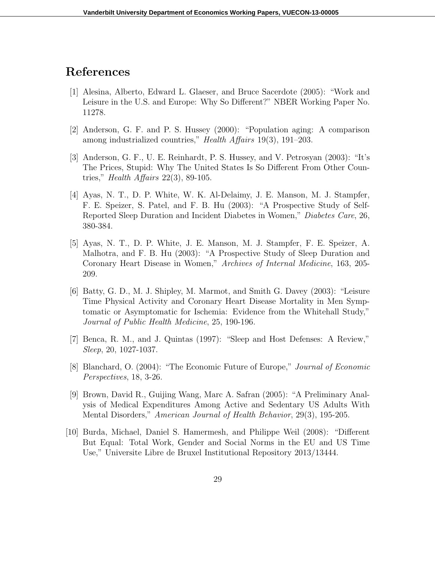### References

- [1] Alesina, Alberto, Edward L. Glaeser, and Bruce Sacerdote (2005): "Work and Leisure in the U.S. and Europe: Why So Different?" NBER Working Paper No. 11278.
- [2] Anderson, G. F. and P. S. Hussey (2000): "Population aging: A comparison among industrialized countries," Health Affairs 19(3), 191–203.
- [3] Anderson, G. F., U. E. Reinhardt, P. S. Hussey, and V. Petrosyan (2003): "It's The Prices, Stupid: Why The United States Is So Different From Other Countries," *Health Affairs* 22(3), 89-105.
- [4] Ayas, N. T., D. P. White, W. K. Al-Delaimy, J. E. Manson, M. J. Stampfer, F. E. Speizer, S. Patel, and F. B. Hu (2003): "A Prospective Study of Self-Reported Sleep Duration and Incident Diabetes in Women," Diabetes Care, 26, 380-384.
- [5] Ayas, N. T., D. P. White, J. E. Manson, M. J. Stampfer, F. E. Speizer, A. Malhotra, and F. B. Hu (2003): "A Prospective Study of Sleep Duration and Coronary Heart Disease in Women," Archives of Internal Medicine, 163, 205- 209.
- [6] Batty, G. D., M. J. Shipley, M. Marmot, and Smith G. Davey (2003): "Leisure Time Physical Activity and Coronary Heart Disease Mortality in Men Symptomatic or Asymptomatic for Ischemia: Evidence from the Whitehall Study," Journal of Public Health Medicine, 25, 190-196.
- [7] Benca, R. M., and J. Quintas (1997): "Sleep and Host Defenses: A Review," Sleep, 20, 1027-1037.
- [8] Blanchard, O. (2004): "The Economic Future of Europe," Journal of Economic Perspectives, 18, 3-26.
- [9] Brown, David R., Guijing Wang, Marc A. Safran (2005): "A Preliminary Analysis of Medical Expenditures Among Active and Sedentary US Adults With Mental Disorders," American Journal of Health Behavior, 29(3), 195-205.
- [10] Burda, Michael, Daniel S. Hamermesh, and Philippe Weil (2008): "Different But Equal: Total Work, Gender and Social Norms in the EU and US Time Use," Universite Libre de Bruxel Institutional Repository 2013/13444.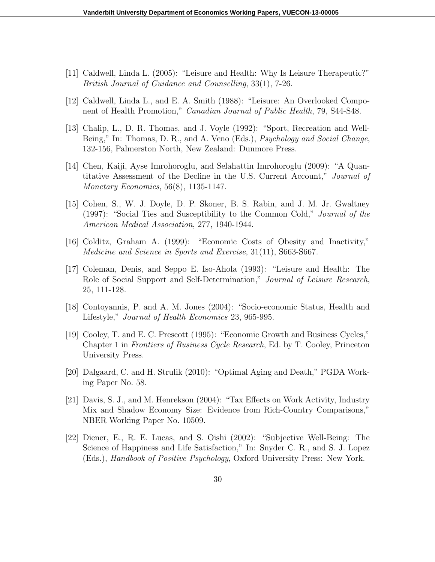- [11] Caldwell, Linda L. (2005): "Leisure and Health: Why Is Leisure Therapeutic?" British Journal of Guidance and Counselling, 33(1), 7-26.
- [12] Caldwell, Linda L., and E. A. Smith (1988): "Leisure: An Overlooked Component of Health Promotion," Canadian Journal of Public Health, 79, S44-S48.
- [13] Chalip, L., D. R. Thomas, and J. Voyle (1992): "Sport, Recreation and Well-Being," In: Thomas, D. R., and A. Veno (Eds.), *Psychology and Social Change*, 132-156, Palmerston North, New Zealand: Dunmore Press.
- [14] Chen, Kaiji, Ayse Imrohoroglu, and Selahattin Imrohoroglu (2009): "A Quantitative Assessment of the Decline in the U.S. Current Account," Journal of Monetary Economics, 56(8), 1135-1147.
- [15] Cohen, S., W. J. Doyle, D. P. Skoner, B. S. Rabin, and J. M. Jr. Gwaltney (1997): "Social Ties and Susceptibility to the Common Cold," Journal of the American Medical Association, 277, 1940-1944.
- [16] Colditz, Graham A. (1999): "Economic Costs of Obesity and Inactivity," Medicine and Science in Sports and Exercise, 31(11), S663-S667.
- [17] Coleman, Denis, and Seppo E. Iso-Ahola (1993): "Leisure and Health: The Role of Social Support and Self-Determination," Journal of Leisure Research, 25, 111-128.
- [18] Contoyannis, P. and A. M. Jones (2004): "Socio-economic Status, Health and Lifestyle," Journal of Health Economics 23, 965-995.
- [19] Cooley, T. and E. C. Prescott (1995): "Economic Growth and Business Cycles," Chapter 1 in Frontiers of Business Cycle Research, Ed. by T. Cooley, Princeton University Press.
- [20] Dalgaard, C. and H. Strulik (2010): "Optimal Aging and Death," PGDA Working Paper No. 58.
- [21] Davis, S. J., and M. Henrekson (2004): "Tax Effects on Work Activity, Industry Mix and Shadow Economy Size: Evidence from Rich-Country Comparisons," NBER Working Paper No. 10509.
- [22] Diener, E., R. E. Lucas, and S. Oishi (2002): "Subjective Well-Being: The Science of Happiness and Life Satisfaction," In: Snyder C. R., and S. J. Lopez (Eds.), Handbook of Positive Psychology, Oxford University Press: New York.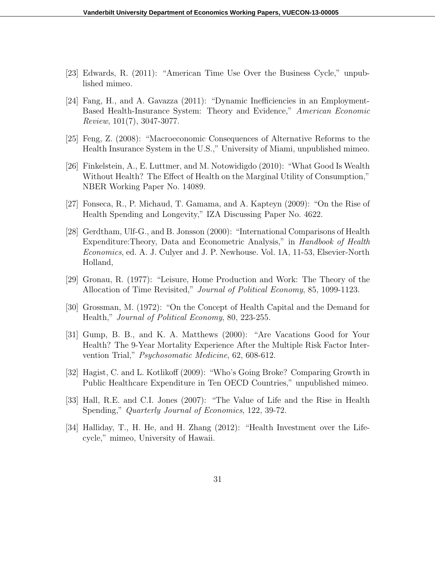- [23] Edwards, R. (2011): "American Time Use Over the Business Cycle," unpublished mimeo.
- [24] Fang, H., and A. Gavazza (2011): "Dynamic Inefficiencies in an Employment-Based Health-Insurance System: Theory and Evidence," American Economic Review, 101(7), 3047-3077.
- [25] Feng, Z. (2008): "Macroeconomic Consequences of Alternative Reforms to the Health Insurance System in the U.S.," University of Miami, unpublished mimeo.
- [26] Finkelstein, A., E. Luttmer, and M. Notowidigdo (2010): "What Good Is Wealth Without Health? The Effect of Health on the Marginal Utility of Consumption," NBER Working Paper No. 14089.
- [27] Fonseca, R., P. Michaud, T. Gamama, and A. Kapteyn (2009): "On the Rise of Health Spending and Longevity," IZA Discussing Paper No. 4622.
- [28] Gerdtham, Ulf-G., and B. Jonsson (2000): "International Comparisons of Health Expenditure:Theory, Data and Econometric Analysis," in Handbook of Health Economics, ed. A. J. Culyer and J. P. Newhouse. Vol. 1A, 11-53, Elsevier-North Holland,
- [29] Gronau, R. (1977): "Leisure, Home Production and Work: The Theory of the Allocation of Time Revisited," Journal of Political Economy, 85, 1099-1123.
- [30] Grossman, M. (1972): "On the Concept of Health Capital and the Demand for Health," Journal of Political Economy, 80, 223-255.
- [31] Gump, B. B., and K. A. Matthews (2000): "Are Vacations Good for Your Health? The 9-Year Mortality Experience After the Multiple Risk Factor Intervention Trial," Psychosomatic Medicine, 62, 608-612.
- [32] Hagist, C. and L. Kotlikoff (2009): "Who's Going Broke? Comparing Growth in Public Healthcare Expenditure in Ten OECD Countries," unpublished mimeo.
- [33] Hall, R.E. and C.I. Jones (2007): "The Value of Life and the Rise in Health Spending," *Quarterly Journal of Economics*, 122, 39-72.
- [34] Halliday, T., H. He, and H. Zhang (2012): "Health Investment over the Lifecycle," mimeo, University of Hawaii.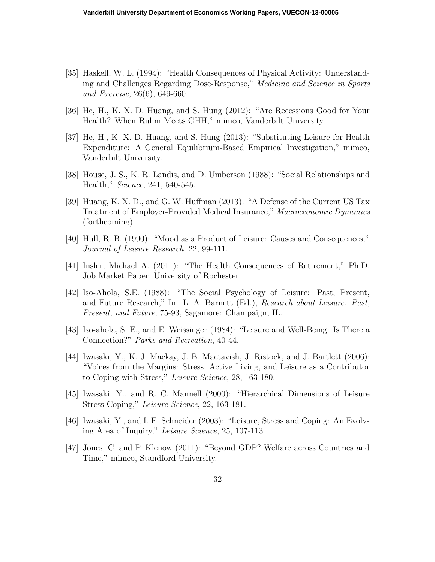- [35] Haskell, W. L. (1994): "Health Consequences of Physical Activity: Understanding and Challenges Regarding Dose-Response," Medicine and Science in Sports and Exercise, 26(6), 649-660.
- [36] He, H., K. X. D. Huang, and S. Hung (2012): "Are Recessions Good for Your Health? When Ruhm Meets GHH," mimeo, Vanderbilt University.
- [37] He, H., K. X. D. Huang, and S. Hung (2013): "Substituting Leisure for Health Expenditure: A General Equilibrium-Based Empirical Investigation," mimeo, Vanderbilt University.
- [38] House, J. S., K. R. Landis, and D. Umberson (1988): "Social Relationships and Health," Science, 241, 540-545.
- [39] Huang, K. X. D., and G. W. Huffman (2013): "A Defense of the Current US Tax Treatment of Employer-Provided Medical Insurance," Macroeconomic Dynamics (forthcoming).
- [40] Hull, R. B. (1990): "Mood as a Product of Leisure: Causes and Consequences," Journal of Leisure Research, 22, 99-111.
- [41] Insler, Michael A. (2011): "The Health Consequences of Retirement," Ph.D. Job Market Paper, University of Rochester.
- [42] Iso-Ahola, S.E. (1988): "The Social Psychology of Leisure: Past, Present, and Future Research," In: L. A. Barnett (Ed.), Research about Leisure: Past, Present, and Future, 75-93, Sagamore: Champaign, IL.
- [43] Iso-ahola, S. E., and E. Weissinger (1984): "Leisure and Well-Being: Is There a Connection?" Parks and Recreation, 40-44.
- [44] Iwasaki, Y., K. J. Mackay, J. B. Mactavish, J. Ristock, and J. Bartlett (2006): "Voices from the Margins: Stress, Active Living, and Leisure as a Contributor to Coping with Stress," Leisure Science, 28, 163-180.
- [45] Iwasaki, Y., and R. C. Mannell (2000): "Hierarchical Dimensions of Leisure Stress Coping," Leisure Science, 22, 163-181.
- [46] Iwasaki, Y., and I. E. Schneider (2003): "Leisure, Stress and Coping: An Evolving Area of Inquiry," Leisure Science, 25, 107-113.
- [47] Jones, C. and P. Klenow (2011): "Beyond GDP? Welfare across Countries and Time," mimeo, Standford University.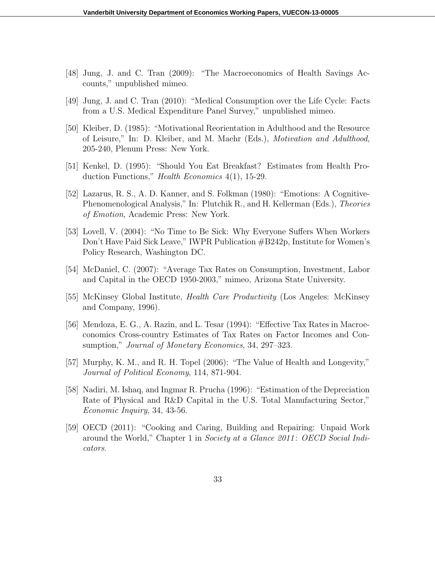- [48] Jung, J. and C. Tran (2009): "The Macroeconomics of Health Savings Accounts," unpublished mimeo.
- [49] Jung, J. and C. Tran (2010): "Medical Consumption over the Life Cycle: Facts from a U.S. Medical Expenditure Panel Survey," unpublished mimeo.
- [50] Kleiber, D. (1985): "Motivational Reorientation in Adulthood and the Resource of Leisure," In: D. Kleiber, and M. Maehr (Eds.), Motivation and Adulthood, 205-240, Plenum Press: New York.
- [51] Kenkel, D. (1995): "Should You Eat Breakfast? Estimates from Health Production Functions," Health Economics 4(1), 15-29.
- [52] Lazarus, R. S., A. D. Kanner, and S. Folkman (1980): "Emotions: A Cognitive-Phenomenological Analysis," In: Plutchik R., and H. Kellerman (Eds.), Theories of Emotion, Academic Press: New York.
- [53] Lovell, V. (2004): "No Time to Be Sick: Why Everyone Suffers When Workers Don't Have Paid Sick Leave," IWPR Publication #B242p, Institute for Women's Policy Research, Washington DC.
- [54] McDaniel, C. (2007): "Average Tax Rates on Consumption, Investment, Labor and Capital in the OECD 1950-2003," mimeo, Arizona State University.
- [55] McKinsey Global Institute, Health Care Productivity (Los Angeles: McKinsey and Company, 1996).
- [56] Mendoza, E. G., A. Razin, and L. Tesar (1994): "Effective Tax Rates in Macroeconomics Cross-country Estimates of Tax Rates on Factor Incomes and Consumption," Journal of Monetary Economics, 34, 297–323.
- [57] Murphy, K. M., and R. H. Topel (2006): "The Value of Health and Longevity," Journal of Political Economy, 114, 871-904.
- [58] Nadiri, M. Ishaq, and Ingmar R. Prucha (1996): "Estimation of the Depreciation Rate of Physical and R&D Capital in the U.S. Total Manufacturing Sector," Economic Inquiry, 34, 43-56.
- [59] OECD (2011): "Cooking and Caring, Building and Repairing: Unpaid Work around the World," Chapter 1 in Society at a Glance 2011: OECD Social Indicators.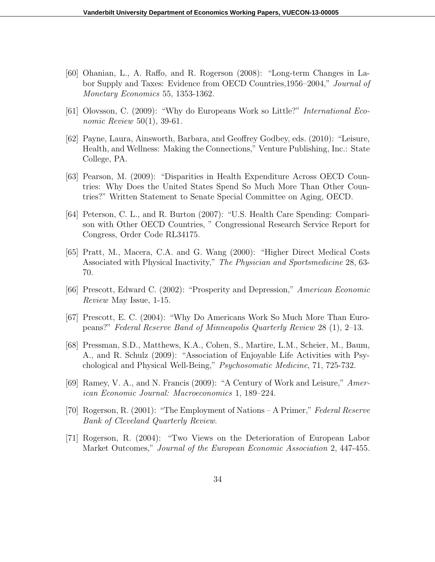- [60] Ohanian, L., A. Raffo, and R. Rogerson (2008): "Long-term Changes in Labor Supply and Taxes: Evidence from OECD Countries,1956–2004," Journal of Monetary Economics 55, 1353-1362.
- [61] Olovsson, C. (2009): "Why do Europeans Work so Little?" International Economic Review 50(1), 39-61.
- [62] Payne, Laura, Ainsworth, Barbara, and Geoffrey Godbey, eds. (2010): "Leisure, Health, and Wellness: Making the Connections," Venture Publishing, Inc.: State College, PA.
- [63] Pearson, M. (2009): "Disparities in Health Expenditure Across OECD Countries: Why Does the United States Spend So Much More Than Other Countries?" Written Statement to Senate Special Committee on Aging, OECD.
- [64] Peterson, C. L., and R. Burton (2007): "U.S. Health Care Spending: Comparison with Other OECD Countries, " Congressional Research Service Report for Congress, Order Code RL34175.
- [65] Pratt, M., Macera, C.A. and G. Wang (2000): "Higher Direct Medical Costs Associated with Physical Inactivity," The Physician and Sportsmedicine 28, 63- 70.
- [66] Prescott, Edward C. (2002): "Prosperity and Depression," American Economic Review May Issue, 1-15.
- [67] Prescott, E. C. (2004): "Why Do Americans Work So Much More Than Europeans?" Federal Reserve Band of Minneapolis Quarterly Review 28 (1), 2–13.
- [68] Pressman, S.D., Matthews, K.A., Cohen, S., Martire, L.M., Scheier, M., Baum, A., and R. Schulz (2009): "Association of Enjoyable Life Activities with Psychological and Physical Well-Being," Psychosomatic Medicine, 71, 725-732.
- [69] Ramey, V. A., and N. Francis (2009): "A Century of Work and Leisure," American Economic Journal: Macroeconomics 1, 189–224.
- [70] Rogerson, R. (2001): "The Employment of Nations A Primer," Federal Reserve Bank of Cleveland Quarterly Review.
- [71] Rogerson, R. (2004): "Two Views on the Deterioration of European Labor Market Outcomes," Journal of the European Economic Association 2, 447-455.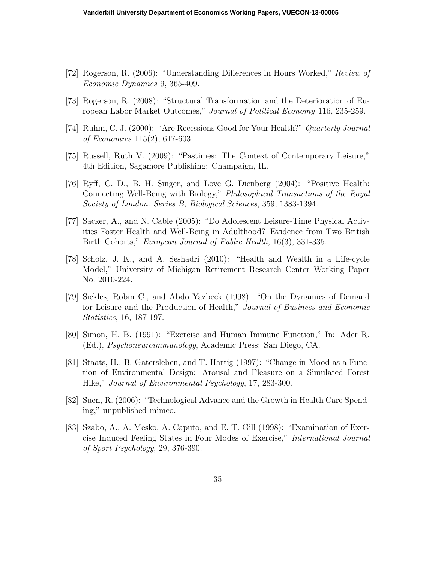- [72] Rogerson, R. (2006): "Understanding Differences in Hours Worked," Review of Economic Dynamics 9, 365-409.
- [73] Rogerson, R. (2008): "Structural Transformation and the Deterioration of European Labor Market Outcomes," Journal of Political Economy 116, 235-259.
- [74] Ruhm, C. J. (2000): "Are Recessions Good for Your Health?" Quarterly Journal of Economics 115(2), 617-603.
- [75] Russell, Ruth V. (2009): "Pastimes: The Context of Contemporary Leisure," 4th Edition, Sagamore Publishing: Champaign, IL.
- [76] Ryff, C. D., B. H. Singer, and Love G. Dienberg (2004): "Positive Health: Connecting Well-Being with Biology," Philosophical Transactions of the Royal Society of London. Series B, Biological Sciences, 359, 1383-1394.
- [77] Sacker, A., and N. Cable (2005): "Do Adolescent Leisure-Time Physical Activities Foster Health and Well-Being in Adulthood? Evidence from Two British Birth Cohorts," European Journal of Public Health, 16(3), 331-335.
- [78] Scholz, J. K., and A. Seshadri (2010): "Health and Wealth in a Life-cycle Model," University of Michigan Retirement Research Center Working Paper No. 2010-224.
- [79] Sickles, Robin C., and Abdo Yazbeck (1998): "On the Dynamics of Demand for Leisure and the Production of Health," Journal of Business and Economic Statistics, 16, 187-197.
- [80] Simon, H. B. (1991): "Exercise and Human Immune Function," In: Ader R. (Ed.), Psychoneuroimmunology, Academic Press: San Diego, CA.
- [81] Staats, H., B. Gatersleben, and T. Hartig (1997): "Change in Mood as a Function of Environmental Design: Arousal and Pleasure on a Simulated Forest Hike," Journal of Environmental Psychology, 17, 283-300.
- [82] Suen, R. (2006): "Technological Advance and the Growth in Health Care Spending," unpublished mimeo.
- [83] Szabo, A., A. Mesko, A. Caputo, and E. T. Gill (1998): "Examination of Exercise Induced Feeling States in Four Modes of Exercise," International Journal of Sport Psychology, 29, 376-390.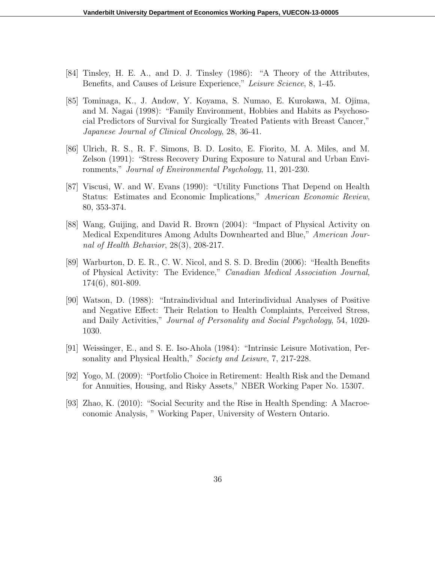- [84] Tinsley, H. E. A., and D. J. Tinsley (1986): "A Theory of the Attributes, Benefits, and Causes of Leisure Experience," Leisure Science, 8, 1-45.
- [85] Tominaga, K., J. Andow, Y. Koyama, S. Numao, E. Kurokawa, M. Ojima, and M. Nagai (1998): "Family Environment, Hobbies and Habits as Psychosocial Predictors of Survival for Surgically Treated Patients with Breast Cancer," Japanese Journal of Clinical Oncology, 28, 36-41.
- [86] Ulrich, R. S., R. F. Simons, B. D. Losito, E. Fiorito, M. A. Miles, and M. Zelson (1991): "Stress Recovery During Exposure to Natural and Urban Environments," Journal of Environmental Psychology, 11, 201-230.
- [87] Viscusi, W. and W. Evans (1990): "Utility Functions That Depend on Health Status: Estimates and Economic Implications," American Economic Review, 80, 353-374.
- [88] Wang, Guijing, and David R. Brown (2004): "Impact of Physical Activity on Medical Expenditures Among Adults Downhearted and Blue," American Journal of Health Behavior, 28(3), 208-217.
- [89] Warburton, D. E. R., C. W. Nicol, and S. S. D. Bredin (2006): "Health Benefits of Physical Activity: The Evidence," Canadian Medical Association Journal, 174(6), 801-809.
- [90] Watson, D. (1988): "Intraindividual and Interindividual Analyses of Positive and Negative Effect: Their Relation to Health Complaints, Perceived Stress, and Daily Activities," Journal of Personality and Social Psychology, 54, 1020- 1030.
- [91] Weissinger, E., and S. E. Iso-Ahola (1984): "Intrinsic Leisure Motivation, Personality and Physical Health," Society and Leisure, 7, 217-228.
- [92] Yogo, M. (2009): "Portfolio Choice in Retirement: Health Risk and the Demand for Annuities, Housing, and Risky Assets," NBER Working Paper No. 15307.
- [93] Zhao, K. (2010): "Social Security and the Rise in Health Spending: A Macroeconomic Analysis, " Working Paper, University of Western Ontario.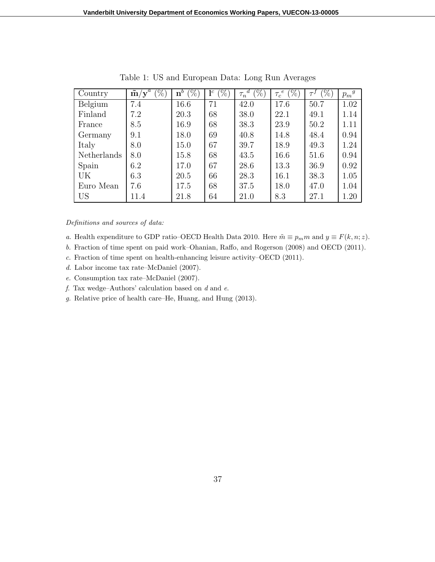| Country     | $\boldsymbol{a}$<br>$\tilde{\mathbf{m}}/\mathbf{y}^{\omega}$<br>$(\%)$ | $(9_0)$<br>$\mathbf{n}^b$ | $\%$<br>$\mathbf{1}^c$ | $\mathscr{C}_0$<br>$\boldsymbol{d}$<br>$\tau_n$ | $(\%)$<br>$\epsilon$<br>$\tau_c$ ' | $(\% )$ | $p_m{}^g$ |
|-------------|------------------------------------------------------------------------|---------------------------|------------------------|-------------------------------------------------|------------------------------------|---------|-----------|
| Belgium     | 7.4                                                                    | 16.6                      | 71                     | 42.0                                            | 17.6                               | 50.7    | 1.02      |
| Finland     | 7.2                                                                    | 20.3                      | 68                     | 38.0                                            | 22.1                               | 49.1    | 1.14      |
| France      | 8.5                                                                    | 16.9                      | 68                     | 38.3                                            | 23.9                               | 50.2    | 1.11      |
| Germany     | 9.1                                                                    | 18.0                      | 69                     | 40.8                                            | 14.8                               | 48.4    | 0.94      |
| Italy       | 8.0                                                                    | 15.0                      | 67                     | 39.7                                            | 18.9                               | 49.3    | 1.24      |
| Netherlands | 8.0                                                                    | 15.8                      | 68                     | 43.5                                            | 16.6                               | 51.6    | 0.94      |
| Spain       | 6.2                                                                    | 17.0                      | 67                     | 28.6                                            | 13.3                               | 36.9    | 0.92      |
| UK          | 6.3                                                                    | 20.5                      | 66                     | 28.3                                            | 16.1                               | 38.3    | 1.05      |
| Euro Mean   | 7.6                                                                    | 17.5                      | 68                     | 37.5                                            | 18.0                               | 47.0    | 1.04      |
| US          | 11.4                                                                   | 21.8                      | 64                     | 21.0                                            | 8.3                                | 27.1    | 1.20      |

Table 1: US and European Data: Long Run Averages

#### Definitions and sources of data:

- a. Health expenditure to GDP ratio–OECD Health Data 2010. Here  $\tilde{m} \equiv p_m m$  and  $y \equiv F(k, n; z)$ .
- b. Fraction of time spent on paid work–Ohanian, Raffo, and Rogerson (2008) and OECD (2011).
- c. Fraction of time spent on health-enhancing leisure activity–OECD (2011).
- d. Labor income tax rate–McDaniel (2007).
- e. Consumption tax rate–McDaniel (2007).
- $f.$  Tax wedge–Authors' calculation based on  $d$  and  $e.$
- g. Relative price of health care–He, Huang, and Hung (2013).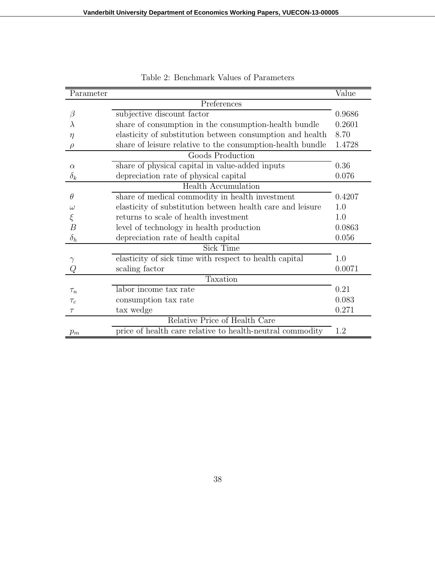| Parameter      |                                                            | Value  |
|----------------|------------------------------------------------------------|--------|
|                | Preferences                                                |        |
| β              | subjective discount factor                                 | 0.9686 |
| λ              | share of consumption in the consumption-health bundle      | 0.2601 |
| $\eta$         | elasticity of substitution between consumption and health  | 8.70   |
|                | share of leisure relative to the consumption-health bundle | 1.4728 |
|                | Goods Production                                           |        |
| $\alpha$       | share of physical capital in value-added inputs            | 0.36   |
| $\delta_k$     | depreciation rate of physical capital                      | 0.076  |
|                | Health Accumulation                                        |        |
| $\theta$       | share of medical commodity in health investment            | 0.4207 |
| $\omega$       | elasticity of substitution between health care and leisure | 1.0    |
| $\xi$          | returns to scale of health investment                      | 1.0    |
| $\overline{B}$ | level of technology in health production                   | 0.0863 |
| $\delta_h$     | depreciation rate of health capital                        | 0.056  |
|                | Sick Time                                                  |        |
|                | elasticity of sick time with respect to health capital     | 1.0    |
|                | scaling factor                                             | 0.0071 |
|                | Taxation                                                   |        |
| $\tau_n$       | labor income tax rate                                      | 0.21   |
| $\tau_c$       | consumption tax rate                                       | 0.083  |
| $\tau$         | tax wedge                                                  | 0.271  |
|                | Relative Price of Health Care                              |        |
| $p_m$          | price of health care relative to health-neutral commodity  | 1.2    |

Table 2: Benchmark Values of Parameters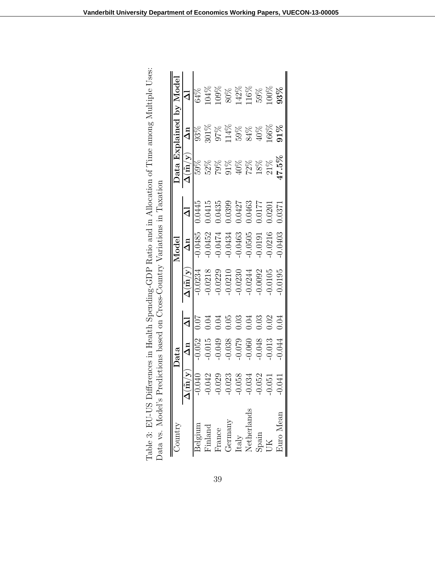| Country                                                          |                              | Data       |          |                                         | Model      |                         |                                         |            | Data Explained by Model |
|------------------------------------------------------------------|------------------------------|------------|----------|-----------------------------------------|------------|-------------------------|-----------------------------------------|------------|-------------------------|
|                                                                  | $\Delta(\tilde{\mathrm{m}})$ | $\Delta n$ | $\Delta$ | $\Delta(\tilde{\mathrm{m}}/\mathrm{y})$ | $\Delta n$ | $\overline{\mathsf{d}}$ | $\Delta(\tilde{\mathrm{m}}/\mathrm{y})$ | $\Delta n$ | $\overline{\mathbf{C}}$ |
| Belgium                                                          | 040                          | 0.052      |          | $-0.0234$                               | 0.0485     | 0.0445                  | 59%                                     | 93%        | 64%                     |
| Finland                                                          | .042                         | 0.015      | 0.04     | $-0.0218$                               | 0.0452     | 0.0415                  |                                         | 301%       | 104%                    |
| France                                                           | 029                          | 0.049      | 0.04     | $-0.0229$                               | 0.0474     | 0.0435                  | 52%<br>79%                              | 97%        | $09\%$                  |
|                                                                  | 023                          | 0.038      | 0.05     | $-0.0210$                               | 0.0434     | 0.0399                  | 91%<br>40%                              | 14%        | 80%                     |
| $\begin{array}{c} \mathrm{Germany}\\ \mathrm{Italy} \end{array}$ | 058                          | 0.079      | 0.03     | 0.0230                                  | $-0.0463$  | 0.0427                  |                                         | 59%        | 142%                    |
| Netherlands                                                      | 034                          | 0.060      | 1.04     | $-0.0244$                               | $-0.0505$  | 0.0463                  | 72%                                     | 84%        | 116%                    |
| Spain                                                            | 052                          | 0.048      | 0.03     | 0.0092                                  | 0.0191     | 0.0177                  | $18\%$                                  | 40%        | 59%                     |
|                                                                  | 051                          | 0.013      | 0.02     | 0.0105                                  | 0.0216     | 0.0201                  | 21%                                     | 166%       | $00\%$                  |
| Juro Mean                                                        | .<br>041                     | 0.044      | 0.04     | 0.0195                                  | 0.0403     | 1.0371                  | $47.5\%$                                | $91\%$     | 93%                     |

| erences in Health Spending-GDP Ratio and in Allocation of Time among Multiple Uses: | Data vs. Model's Predictions based on Cross-Country Variations in Taxation |       |
|-------------------------------------------------------------------------------------|----------------------------------------------------------------------------|-------|
| Table 3: EU-US Diffe                                                                |                                                                            | .<br> |
|                                                                                     |                                                                            |       |
|                                                                                     |                                                                            |       |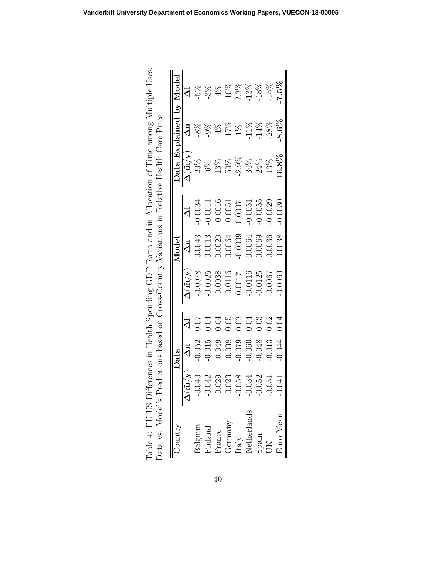|                             |                                                    | Data       |       |                                         | Model      |           |                                         |            | Data Explained by Model |
|-----------------------------|----------------------------------------------------|------------|-------|-----------------------------------------|------------|-----------|-----------------------------------------|------------|-------------------------|
|                             | $\overline{\Delta}(\tilde{\mathrm{m}}) \mathrm{y}$ | $\Delta n$ | ব     | $\Delta(\tilde{\mathrm{m}}/\mathrm{y})$ | $\Delta n$ | $\Delta$  | $\Delta(\tilde{\mathrm{m}}/\mathrm{y})$ | $\Delta n$ |                         |
| Belgium                     | $-0.040$                                           | 0.052      | 70.07 | 0.0078                                  | 0.0043     | 0.0034    | $20\%$                                  | $8\%$      |                         |
| Finland                     | $-0.042$                                           | $-0.015$   | 0.04  | 0.0025                                  | 0.0013     | $-0.0011$ | $6\%$                                   | $-9%$      | $3\%$                   |
| France                      | 029                                                | 0.049      | 0.04  | 0.0038                                  | 0.0020     | $-0.0016$ | 13%                                     | $4\%$      | $4\%$                   |
| Germany                     | $-0.023$                                           | 0.038      | 0.05  | 0.0116                                  | 1.0064     | $-0.0051$ | 50%                                     | 17%        | 10%                     |
| $\ensuremath{\text{Italy}}$ | $-0.058$                                           | 620.0      | 0.03  | 1.0017                                  | 0.0009     | 0.0007    | $2.9\%$                                 | R          | 2.3%                    |
| Netherlands                 | $-0.034$                                           | 0.060      | 0.04  | 0.0116                                  | 0.0064     | $-0.0051$ | 34%                                     | 11%        | 13%                     |
| $S$ pain                    | $-0.052$                                           | 0.048      | 0.03  | 0.0125                                  | 0.0069     | 0.0055    | $24\%$                                  | $-14%$     | 18%                     |
| ŨК                          | 051                                                | 0.013      | 0.02  | 0.0067                                  | 0.0036     | 0.0029    | 13%                                     | $-28%$     | 15%                     |
| <b>Euro</b> Mean            |                                                    | 0.044      | 0.04  | 0.0069                                  | 0.0038     | 0.0030    | $.6.8\%$                                | $8.6\%$    | $7.5\%$                 |